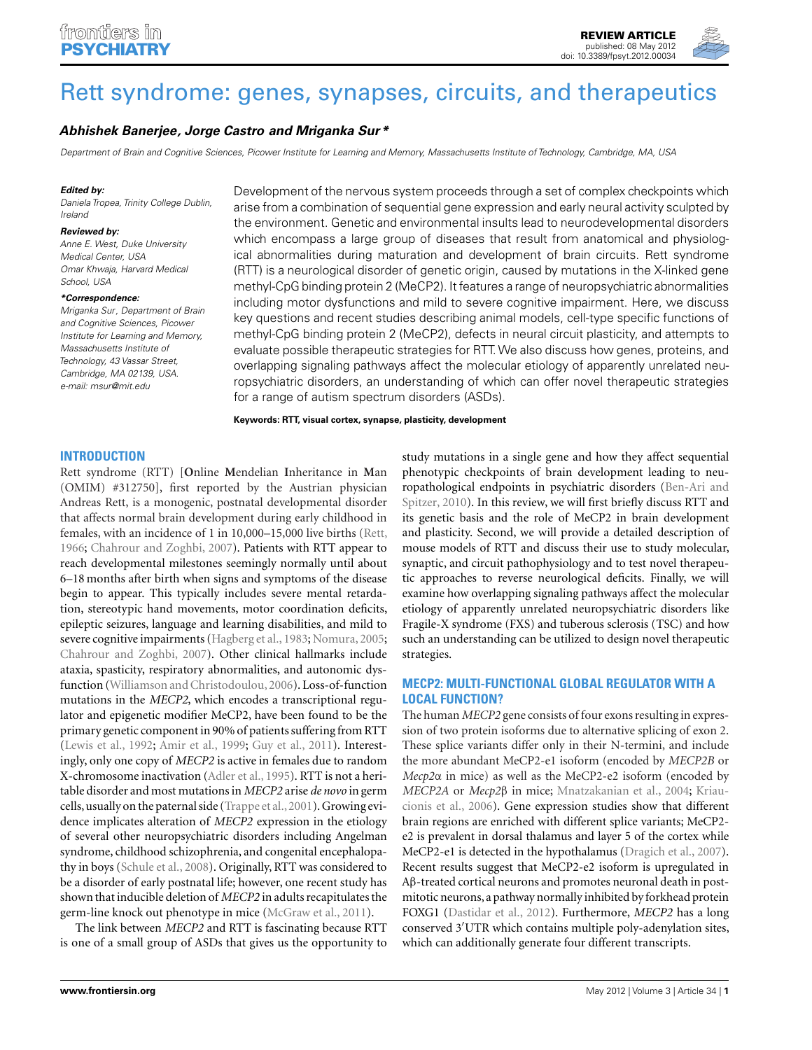# [Rett syndrome: genes, synapses, circuits, and therapeutics](http://www.frontiersin.org/Molecular_Psychiatry/10.3389/fpsyt.2012.00034/abstract)

# *[Abhishek Banerjee,](http://www.frontiersin.org/Community/WhosWhoActivity.aspx?sname=AbhishekBanerjee&UID=11499) [Jorge Castro](http://www.frontiersin.org/Community/WhosWhoActivity.aspx?sname=JorgeCastro_1&UID=49735) and [Mriganka Sur \\*](http://www.frontiersin.org/Community/WhosWhoActivity.aspx?sname=MrigankaSur&UID=7)*

Department of Brain and Cognitive Sciences, Picower Institute for Learning and Memory, Massachusetts Institute of Technology, Cambridge, MA, USA

#### *Edited by:*

Daniela Tropea, Trinity College Dublin, Ireland

#### *Reviewed by:*

Anne E. West, Duke University Medical Center, USA Omar Khwaja, Harvard Medical School, USA

#### *\*Correspondence:*

Mriganka Sur, Department of Brain and Cognitive Sciences, Picower Institute for Learning and Memory, Massachusetts Institute of Technology, 43 Vassar Street, Cambridge, MA 02139, USA. e-mail: [msur@mit.edu](mailto:msur@mit.edu)

Development of the nervous system proceeds through a set of complex checkpoints which arise from a combination of sequential gene expression and early neural activity sculpted by the environment. Genetic and environmental insults lead to neurodevelopmental disorders which encompass a large group of diseases that result from anatomical and physiological abnormalities during maturation and development of brain circuits. Rett syndrome (RTT) is a neurological disorder of genetic origin, caused by mutations in the X-linked gene methyl-CpG binding protein 2 (MeCP2). It features a range of neuropsychiatric abnormalities including motor dysfunctions and mild to severe cognitive impairment. Here, we discuss key questions and recent studies describing animal models, cell-type specific functions of methyl-CpG binding protein 2 (MeCP2), defects in neural circuit plasticity, and attempts to evaluate possible therapeutic strategies for RTT.We also discuss how genes, proteins, and overlapping signaling pathways affect the molecular etiology of apparently unrelated neuropsychiatric disorders, an understanding of which can offer novel therapeutic strategies for a range of autism spectrum disorders (ASDs).

**Keywords: RTT, visual cortex, synapse, plasticity, development**

# **INTRODUCTION**

Rett syndrome (RTT) [**O**nline **M**endelian **I**nheritance in **M**an (OMIM) #312750], first reported by the Austrian physician Andreas Rett, is a monogenic, postnatal developmental disorder that affects normal brain development during early childhood in females, with an incidence of 1 in 10,000–15,000 live births [\(Rett,](#page-11-0) [1966;](#page-11-0) [Chahrour and Zoghbi, 2007](#page-9-0)). Patients with RTT appear to reach developmental milestones seemingly normally until about 6–18 months after birth when signs and symptoms of the disease begin to appear. This typically includes severe mental retardation, stereotypic hand movements, motor coordination deficits, epileptic seizures, language and learning disabilities, and mild to severe cognitive impairments [\(Hagberg et al.](#page-10-0), [1983](#page-10-0); [Nomura](#page-11-0), [2005;](#page-11-0) [Chahrour and Zoghbi, 2007\)](#page-9-0). Other clinical hallmarks include ataxia, spasticity, respiratory abnormalities, and autonomic dysfunction [\(Williamson and Christodoulou](#page-12-0), [2006\)](#page-12-0). Loss-of-function mutations in the *MECP2*, which encodes a transcriptional regulator and epigenetic modifier MeCP2, have been found to be the primary genetic component in 90% of patients suffering from RTT [\(Lewis et al.](#page-10-0), [1992](#page-10-0); [Amir et al., 1999](#page-9-0); [Guy et al., 2011\)](#page-10-0). Interestingly, only one copy of *MECP2* is active in females due to random X-chromosome inactivation [\(Adler et al., 1995\)](#page-9-0). RTT is not a heritable disorder and most mutations in *MECP2* arise *de novo* in germ cells, usually on the paternal side [\(Trappe et al.](#page-11-0),[2001\)](#page-11-0). Growing evidence implicates alteration of *MECP2* expression in the etiology of several other neuropsychiatric disorders including Angelman syndrome, childhood schizophrenia, and congenital encephalopathy in boys [\(Schule et al.](#page-11-0), [2008](#page-11-0)). Originally, RTT was considered to be a disorder of early postnatal life; however, one recent study has shown that inducible deletion of *MECP2* in adults recapitulates the germ-line knock out phenotype in mice [\(McGraw et al.](#page-11-0), [2011\)](#page-11-0).

The link between *MECP2* and RTT is fascinating because RTT is one of a small group of ASDs that gives us the opportunity to

study mutations in a single gene and how they affect sequential phenotypic checkpoints of brain development leading to neuropath[ological](#page-9-0) [endpoints](#page-9-0) [in](#page-9-0) [psychiatric](#page-9-0) [disorders](#page-9-0) [\(](#page-9-0)Ben-Ari and Spitzer, [2010\)](#page-9-0). In this review, we will first briefly discuss RTT and its genetic basis and the role of MeCP2 in brain development and plasticity. Second, we will provide a detailed description of mouse models of RTT and discuss their use to study molecular, synaptic, and circuit pathophysiology and to test novel therapeutic approaches to reverse neurological deficits. Finally, we will examine how overlapping signaling pathways affect the molecular etiology of apparently unrelated neuropsychiatric disorders like Fragile-X syndrome (FXS) and tuberous sclerosis (TSC) and how such an understanding can be utilized to design novel therapeutic strategies.

# **MECP2: MULTI-FUNCTIONAL GLOBAL REGULATOR WITH A LOCAL FUNCTION?**

The human *MECP2* gene consists of four exons resulting in expression of two protein isoforms due to alternative splicing of exon 2. These splice variants differ only in their N-termini, and include the more abundant MeCP2-e1 isoform (encoded by *MECP2B* or *Mecp2*α in mice) as well as the MeCP2-e2 isoform (encoded by *MECP2A* or *Mecp2*β in mice; [Mnatzakanian et al.](#page-11-0)[,](#page-10-0) [2004](#page-11-0)[;](#page-10-0) Kriaucionis et al., [2006](#page-10-0)). Gene expression studies show that different brain regions are enriched with different splice variants; MeCP2 e2 is prevalent in dorsal thalamus and layer 5 of the cortex while MeCP2-e1 is detected in the hypothalamus [\(Dragich et al., 2007](#page-10-0)). Recent results suggest that MeCP2-e2 isoform is upregulated in Aβ-treated cortical neurons and promotes neuronal death in postmitotic neurons, a pathway normally inhibited by forkhead protein FOXG1 [\(Dastidar et al.](#page-10-0), [2012](#page-10-0)). Furthermore, *MECP2* has a long conserved 3'UTR which contains multiple poly-adenylation sites, which can additionally generate four different transcripts.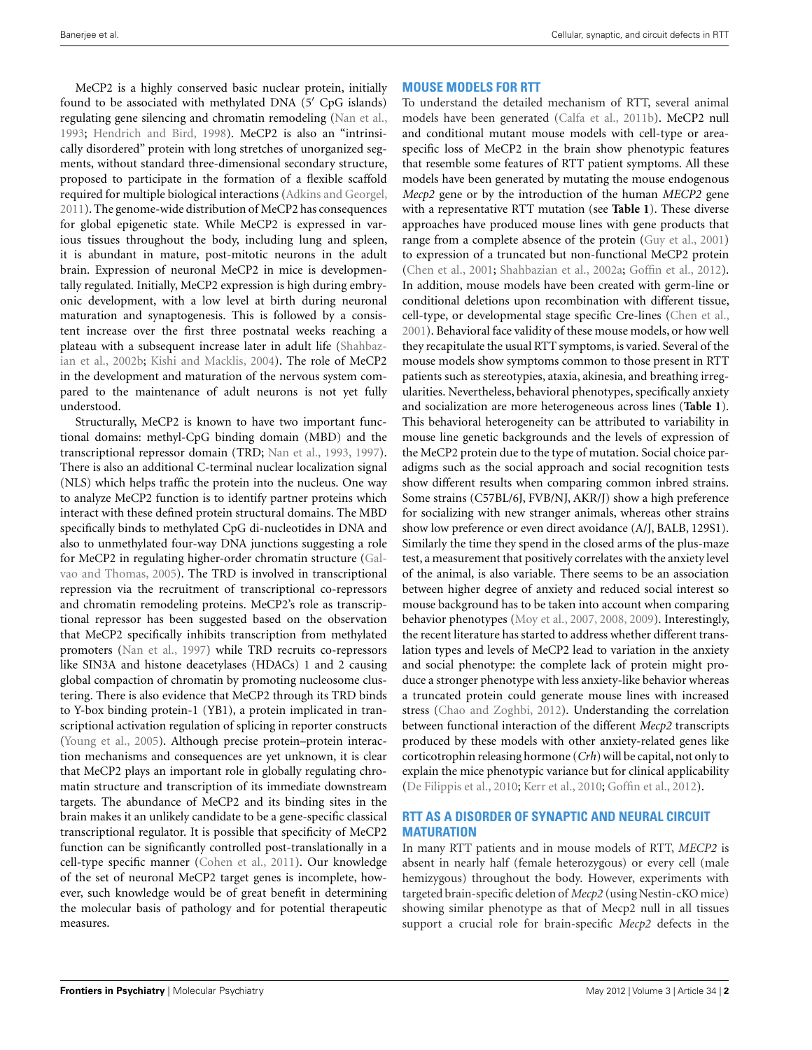MeCP2 is a highly conserved basic nuclear protein, initially found to be associated with methylated DNA (5' CpG islands) regulating gene silencing and chromatin remodeling [\(Nan et al.,](#page-11-0) [1993;](#page-11-0) [Hendrich and Bird](#page-10-0), [1998\)](#page-10-0). MeCP2 is also an "intrinsically disordered" protein with long stretches of unorganized segments, without standard three-dimensional secondary structure, proposed to participate in the formation of a flexible scaffold required for multiple biological interactions [\(Adkins and Georgel,](#page-9-0) [2011\)](#page-9-0). The genome-wide distribution of MeCP2 has consequences for global epigenetic state. While MeCP2 is expressed in various tissues throughout the body, including lung and spleen, it is abundant in mature, post-mitotic neurons in the adult brain. Expression of neuronal MeCP2 in mice is developmentally regulated. Initially, MeCP2 expression is high during embryonic development, with a low level at birth during neuronal maturation and synaptogenesis. This is followed by a consistent increase over the first three postnatal weeks reaching a plateau [with a subsequent increase later in adult life \(](#page-11-0)Shahbazian et al., [2002b](#page-11-0); [Kishi and Macklis, 2004](#page-10-0)). The role of MeCP2 in the development and maturation of the nervous system compared to the maintenance of adult neurons is not yet fully understood.

Structurally, MeCP2 is known to have two important functional domains: methyl-CpG binding domain (MBD) and the transcriptional repressor domain (TRD; [Nan et al., 1993, 1997](#page-11-0)). There is also an additional C-terminal nuclear localization signal (NLS) which helps traffic the protein into the nucleus. One way to analyze MeCP2 function is to identify partner proteins which interact with these defined protein structural domains. The MBD specifically binds to methylated CpG di-nucleotides in DNA and also to unmethylated four-way DNA junctions suggesting a role for MeCP2 in re[gulating higher-order chromatin structure \(](#page-10-0)Galvao and Thomas, [2005](#page-10-0)). The TRD is involved in transcriptional repression via the recruitment of transcriptional co-repressors and chromatin remodeling proteins. MeCP2's role as transcriptional repressor has been suggested based on the observation that MeCP2 specifically inhibits transcription from methylated promoters [\(Nan et al.](#page-11-0), [1997](#page-11-0)) while TRD recruits co-repressors like SIN3A and histone deacetylases (HDACs) 1 and 2 causing global compaction of chromatin by promoting nucleosome clustering. There is also evidence that MeCP2 through its TRD binds to Y-box binding protein-1 (YB1), a protein implicated in transcriptional activation regulation of splicing in reporter constructs [\(Young et al., 2005\)](#page-12-0). Although precise protein–protein interaction mechanisms and consequences are yet unknown, it is clear that MeCP2 plays an important role in globally regulating chromatin structure and transcription of its immediate downstream targets. The abundance of MeCP2 and its binding sites in the brain makes it an unlikely candidate to be a gene-specific classical transcriptional regulator. It is possible that specificity of MeCP2 function can be significantly controlled post-translationally in a cell-type specific manner [\(Cohen et al., 2011](#page-9-0)). Our knowledge of the set of neuronal MeCP2 target genes is incomplete, however, such knowledge would be of great benefit in determining the molecular basis of pathology and for potential therapeutic measures.

# **MOUSE MODELS FOR RTT**

To understand the detailed mechanism of RTT, several animal models have been generated [\(Calfa et al.](#page-9-0), [2011b](#page-9-0)). MeCP2 null and conditional mutant mouse models with cell-type or areaspecific loss of MeCP2 in the brain show phenotypic features that resemble some features of RTT patient symptoms. All these models have been generated by mutating the mouse endogenous *Mecp2* gene or by the introduction of the human *MECP2* gene with a representative RTT mutation (see **[Table 1](#page-2-0)**). These diverse approaches have produced mouse lines with gene products that range from a complete absence of the protein [\(Guy et al.](#page-10-0), [2001](#page-10-0)) to expression of a truncated but non-functional MeCP2 protein [\(Chen et al., 2001](#page-9-0); [Shahbazian et al.](#page-11-0), [2002a;](#page-11-0) [Goffin et al., 2012](#page-10-0)). In addition, mouse models have been created with germ-line or conditional deletions upon recombination with different tissue, cell-type, or developmental stage specific Cre-lines [\(Chen et al.,](#page-9-0) [2001\)](#page-9-0). Behavioral face validity of these mouse models, or how well they recapitulate the usual RTT symptoms, is varied. Several of the mouse models show symptoms common to those present in RTT patients such as stereotypies, ataxia, akinesia, and breathing irregularities. Nevertheless, behavioral phenotypes, specifically anxiety and socialization are more heterogeneous across lines (**[Table 1](#page-2-0)**). This behavioral heterogeneity can be attributed to variability in mouse line genetic backgrounds and the levels of expression of the MeCP2 protein due to the type of mutation. Social choice paradigms such as the social approach and social recognition tests show different results when comparing common inbred strains. Some strains (C57BL/6J, FVB/NJ, AKR/J) show a high preference for socializing with new stranger animals, whereas other strains show low preference or even direct avoidance (A/J, BALB, 129S1). Similarly the time they spend in the closed arms of the plus-maze test, a measurement that positively correlates with the anxiety level of the animal, is also variable. There seems to be an association between higher degree of anxiety and reduced social interest so mouse background has to be taken into account when comparing behavior phenotypes [\(Moy et al., 2007](#page-11-0), [2008, 2009](#page-11-0)). Interestingly, the recent literature has started to address whether different translation types and levels of MeCP2 lead to variation in the anxiety and social phenotype: the complete lack of protein might produce a stronger phenotype with less anxiety-like behavior whereas a truncated protein could generate mouse lines with increased stress [\(Chao and Zoghbi, 2012](#page-9-0)). Understanding the correlation between functional interaction of the different *Mecp2* transcripts produced by these models with other anxiety-related genes like corticotrophin releasing hormone (*Crh*) will be capital, not only to explain the mice phenotypic variance but for clinical applicability [\(De Filippis et al.](#page-10-0), [2010](#page-10-0); [Kerr et al., 2010](#page-10-0); [Goffin et al.](#page-10-0), [2012](#page-10-0)).

# **RTT AS A DISORDER OF SYNAPTIC AND NEURAL CIRCUIT MATURATION**

In many RTT patients and in mouse models of RTT, *MECP2* is absent in nearly half (female heterozygous) or every cell (male hemizygous) throughout the body. However, experiments with targeted brain-specific deletion of *Mecp2* (using Nestin-cKO mice) showing similar phenotype as that of Mecp2 null in all tissues support a crucial role for brain-specific *Mecp2* defects in the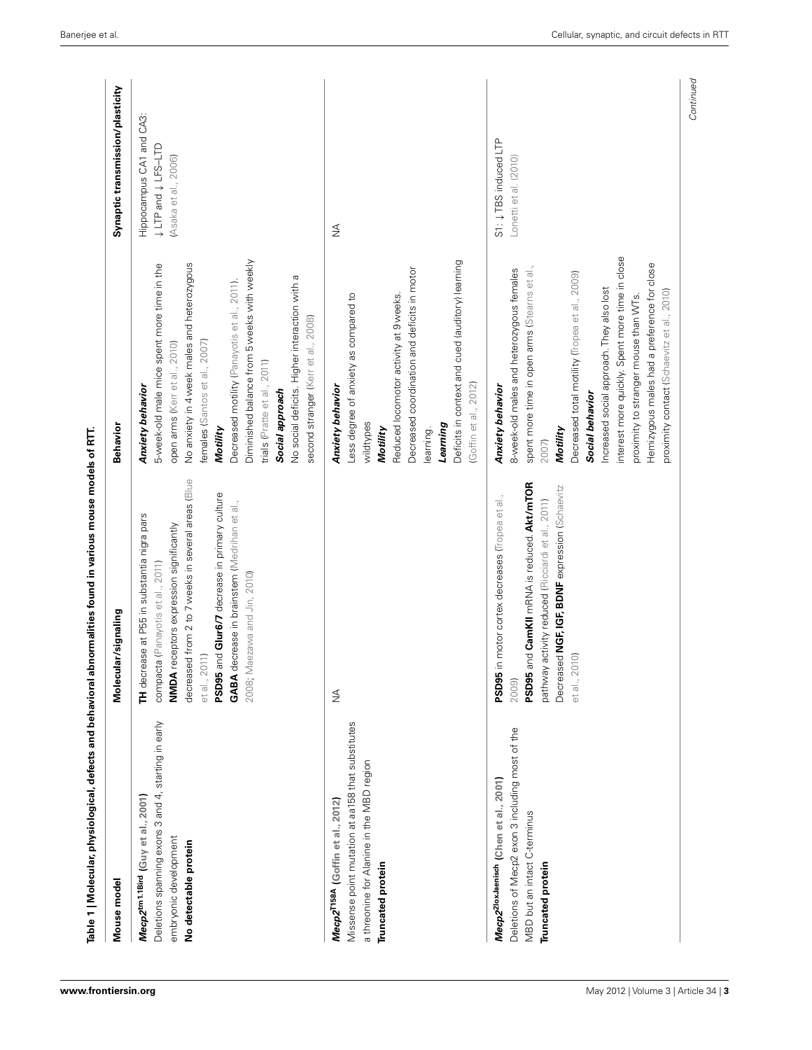<span id="page-2-0"></span>

| Mouse model                                                                                                                                                         | signaling<br>Molecular                                                                                                                                                                                                                                                                                                                    | Behavior                                                                                                                                                                                                                                                                                                                                                                                                                                              | Synaptic transmission/plasticity                                           |
|---------------------------------------------------------------------------------------------------------------------------------------------------------------------|-------------------------------------------------------------------------------------------------------------------------------------------------------------------------------------------------------------------------------------------------------------------------------------------------------------------------------------------|-------------------------------------------------------------------------------------------------------------------------------------------------------------------------------------------------------------------------------------------------------------------------------------------------------------------------------------------------------------------------------------------------------------------------------------------------------|----------------------------------------------------------------------------|
| Deletions spanning exons 3 and 4, starting in early<br>Mecp2 <sup>tm1.1Bird</sup> (Guy et al., 2001)<br>embryonic development<br>No detectable protein              | from 2 to 7 weeks in several areas (Blue<br>Glur6/7 decrease in primary culture<br>GABA decrease in brainstem (Medrihan et al.,<br>TH decrease at P55 in substantia nigra pars<br>NMDA receptors expression significantly<br>compacta (Panayotis et al., 2011)<br>2008; Maezawa and Jin, 2010)<br>et al., 2011)<br>PSD95 and<br>decreased | Diminished balance from 5 weeks with weekly<br>No anxiety in 4 week males and heterozygous<br>5-week-old male mice spent more time in the<br>No social deficits. Higher interaction with a<br>Decreased motility (Panayotis et al., 2011).<br>second stranger (Kerr et al., 2008)<br>females (Santos et al., 2007)<br>open arms (Kerr et al., 2010)<br>2011)<br>Anxiety behavior<br>trials (Pratte et al.,<br>Social approach<br>Motility             | CA3:<br>Hippocampus CA1 and<br>↓ LTP and ↓ LFS-LTD<br>(Asaka et al., 2006) |
| Missense point mutation at aa158 that substitutes<br>a threonine for Alanine in the MBD region<br>Mecp2 <sup>T158A</sup> (Goffin et al., 2012)<br>Truncated protein | $\lessgtr$                                                                                                                                                                                                                                                                                                                                | Deficits in context and cued (auditory) learning<br>Decreased coordination and deficits in motor<br>Reduced locomotor activity at 9 weeks.<br>Less degree of anxiety as compared to<br>(Goffin et al., 2012)<br>Anxiety behavior<br>wildtypes<br>Learning<br>Motility<br>learning.                                                                                                                                                                    | ₹                                                                          |
| Deletions of Mecp2 exon 3 including most of the<br>Mecp2 <sup>2loxJaenisch</sup> (Chen et al., 2001)<br><b>MBD</b> but an intact C-terminus<br>Truncated protein    | CamKII mRNA is reduced. Akt/mTOR<br>NGF, IGF, BDNF expression (Schaevitz<br>PSD95 in motor cortex decreases (Tropea et al.,<br>pathway activity reduced (Ricciardi et al., 2011)<br>PSD95 and<br>Decreased<br>et al., 2010)<br>2009)                                                                                                      | interest more quickly. Spent more time in close<br>Hemizygous males had a preference for close<br>spent more time in open arms (Stearns et al.,<br>8-week-old males and heterozygous females<br>Decreased total motility (Tropea et al., 2009)<br>Increased social approach. They also lost<br>proximity contact (Schaevitz et al., 2010)<br>proximity to stranger mouse than WTs.<br><b>Anxiety behavior</b><br>Social behavior<br>Motility<br>2007) | S1: ↓TBS induced LTP<br>Lonetti et al. (2010                               |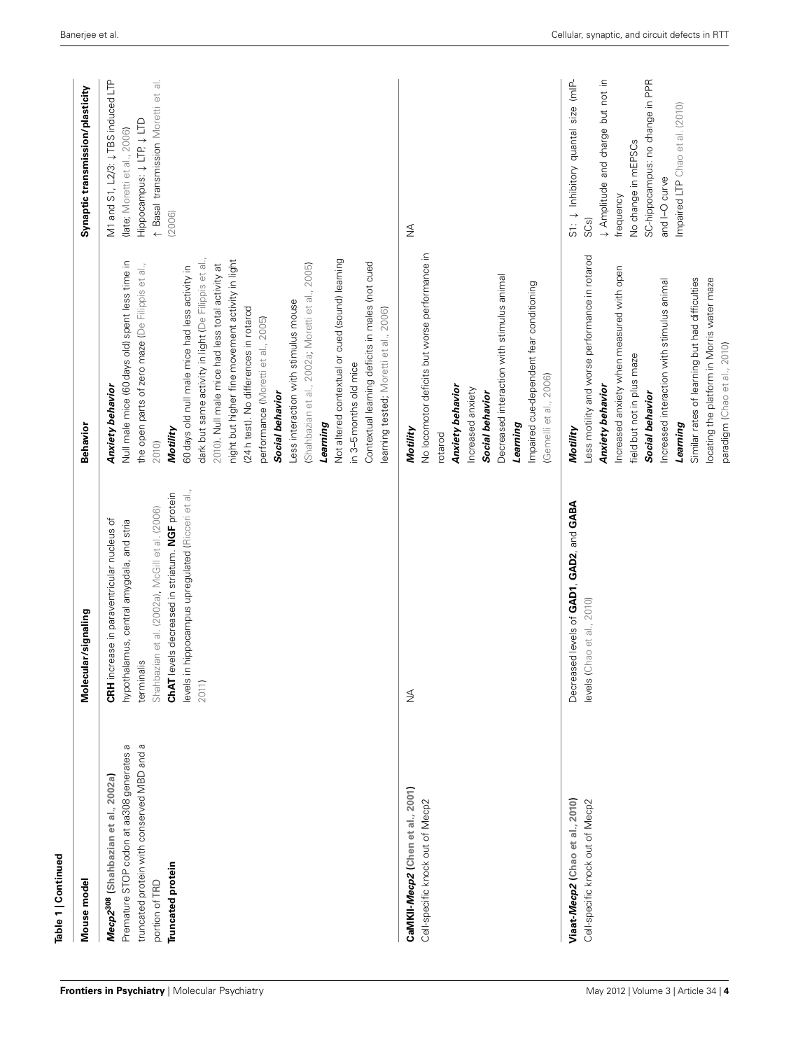| Table 1   Continued                                                                                                                                                                         |                                                                                                                                                                                                                                                                           |                                                                                                                                                                                                                                                                                                                                                                                                                                                                                                                                                                                                                                                                                                                                                     |                                                                                                                                                                                                                                    |
|---------------------------------------------------------------------------------------------------------------------------------------------------------------------------------------------|---------------------------------------------------------------------------------------------------------------------------------------------------------------------------------------------------------------------------------------------------------------------------|-----------------------------------------------------------------------------------------------------------------------------------------------------------------------------------------------------------------------------------------------------------------------------------------------------------------------------------------------------------------------------------------------------------------------------------------------------------------------------------------------------------------------------------------------------------------------------------------------------------------------------------------------------------------------------------------------------------------------------------------------------|------------------------------------------------------------------------------------------------------------------------------------------------------------------------------------------------------------------------------------|
| Mouse model                                                                                                                                                                                 | Molecular/signaling                                                                                                                                                                                                                                                       | <b>Behavior</b>                                                                                                                                                                                                                                                                                                                                                                                                                                                                                                                                                                                                                                                                                                                                     | Synaptic transmission/plasticity                                                                                                                                                                                                   |
| truncated protein with conserved MBD and a<br>$\varpi$<br>Premature STOP codon at aa308 generates<br>Mecp2 <sup>308</sup> (Shahbazian et al., 2002a)<br>Truncated protein<br>portion of TRD | levels in hippocampus upregulated (Ricceri et al.,<br>ChAT levels decreased in striatum. NGF protein<br>Shahbazian et al. (2002a), McGill et al. (2006)<br>CRH increase in paraventricular nucleus of<br>hypothalamus, central amygdala, and stria<br>terminalis<br>2011) | dark but same activity in light (De Filippis et al.,<br>night but higher fine movement activity in light<br>Not altered contextual or cued (sound) learning<br>Null male mice (60 days old) spent less time in<br>Contextual learning deficits in males (not cued<br>the open parts of zero maze (De Filippis et al.,<br>2010). Null male mice had less total activity at<br>(Shahbazian et al., 2002a; Moretti et al., 2005)<br>60 days old null male mice had less activity in<br>Less interaction with stimulus mouse<br>(24h test). No differences in rotarod<br>learning tested; Moretti et al., 2006)<br>performance (Moretti et al., 2005)<br>in 3-5 months old mice<br>Anxiety behavior<br>Social behavior<br>Learning<br>Motility<br>2010) | M1 and S1, L2/3: $\downarrow$ TBS induced LTP<br>↑ Basal transmission Moretti et al.<br>Hippocampus: + LTP + LTD<br>(late; Moretti et al., 2006)<br>(2006)                                                                         |
| CaMKII-Mecp2 (Chen et al., 2001)<br>Cell-specific knock out of Mecp2                                                                                                                        | $\frac{3}{2}$                                                                                                                                                                                                                                                             | No locomotor deficits but worse performance in<br>Decreased interaction with stimulus animal<br>Impaired cue-dependent fear conditioning<br>(Gemelli et al., 2006)<br>Anxiety behavior<br>Increased anxiety<br>Social behavior<br>Learning<br>Motility<br>rotarod                                                                                                                                                                                                                                                                                                                                                                                                                                                                                   | $\lessgtr$                                                                                                                                                                                                                         |
| Viaat-Mecp2 (Chao et al., 2010)<br>Cell-specific knock out of Mecp2                                                                                                                         | Decreased levels of GAD1, GAD2, and GABA<br>levels (Chao et al., 2010)                                                                                                                                                                                                    | Less motility and worse performance in rotarod<br>Increased anxiety when measured with open<br>Similar rates of learning but had difficulties<br>locating the platform in Morris water maze<br>Increased interaction with stimulus animal<br>paradigm (Chao et al., 2010)<br>field but not in plus maze<br>Anxiety behavior<br>Social behavior<br>Learning<br>Motility                                                                                                                                                                                                                                                                                                                                                                              | ↓ Amplitude and charge but not in<br>SC-hippocampus: no change in PPR<br>$S1: \downarrow$ Inhibitory quantal size (mIP-<br>Impaired LTP Chao et al. (2010)<br>No change in mEPSCs<br>and I-O curve<br>frequency<br>SC <sub>S</sub> |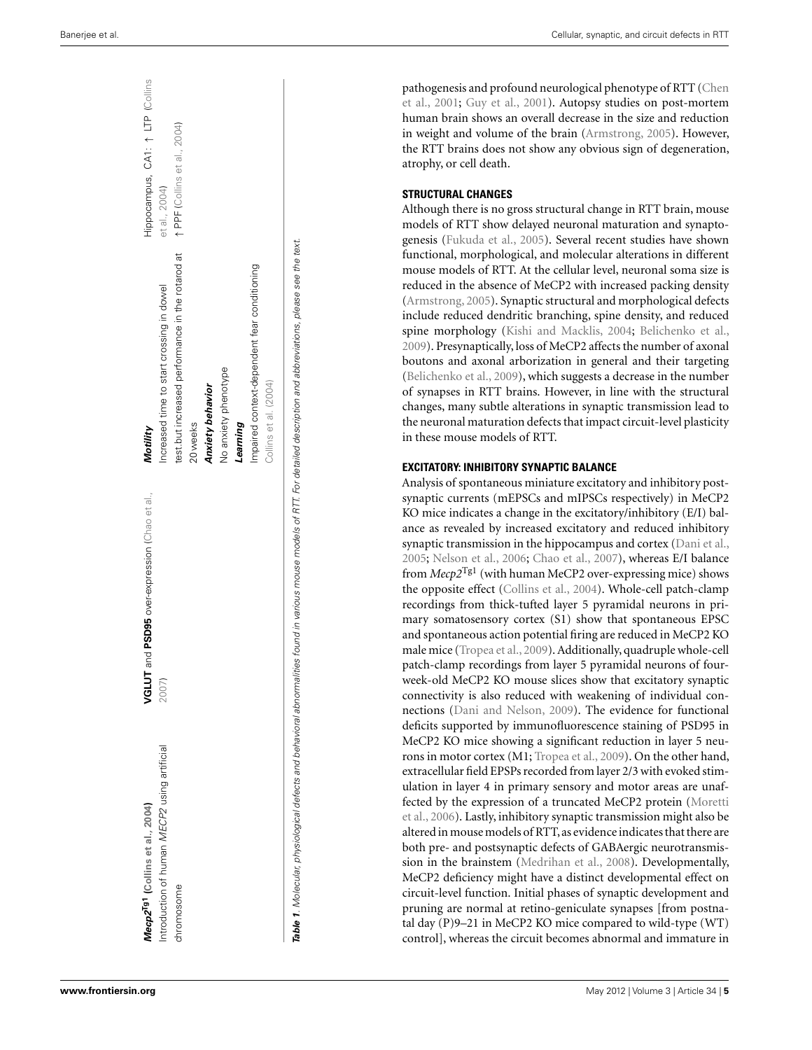| Mecp2 <sup>Tg1</sup> (Collins et al., 2004) | and PSD95 over-expression (Chao et al.,<br>VGLUT                                                                                                                                      | Motility                                         | Hippocampus, CA1: 1 LTP (Collins |
|---------------------------------------------|---------------------------------------------------------------------------------------------------------------------------------------------------------------------------------------|--------------------------------------------------|----------------------------------|
| ntroduction of human MECP2 using artificial | 2007)                                                                                                                                                                                 | ncreased time to start crossing in dowel         | et al., 2004)                    |
| chromosome                                  |                                                                                                                                                                                       | test.but increased performance in the rotarod at | ↑ PPF (Collins et al., 2004)     |
|                                             |                                                                                                                                                                                       | 20 weeks                                         |                                  |
|                                             |                                                                                                                                                                                       | <b>Anxiety behavior</b>                          |                                  |
|                                             |                                                                                                                                                                                       | No anxiety phenotype                             |                                  |
|                                             |                                                                                                                                                                                       | Learning                                         |                                  |
|                                             |                                                                                                                                                                                       | Impaired context-dependent fear conditioning     |                                  |
|                                             |                                                                                                                                                                                       | Collins et al. (2004)                            |                                  |
|                                             | <b>Table 1</b> . Molecular, physiological defects and behavioral abnormalities found in various mouse models of RTT. For detailed description and abbreviations, please see the text. |                                                  |                                  |

path[ogenesis and profound neurological phenotype of RTT \(](#page-9-0)Chen et al., [2001](#page-9-0) ; [Guy et al., 2001](#page-10-0)). Autopsy studies on post-mortem human brain shows an overall decrease in the size and reduction in weight and volume of the brain [\(Armstrong](#page-9-0), [2005](#page-9-0)). However, the RTT brains does not show any obvious sign of degeneration, atrophy, or cell death.

#### **STRUCTURAL CHANGES**

Although there is no gross structural change in RTT brain, mouse models of RTT show delayed neuronal maturation and synaptogenesis [\(Fukuda et al.](#page-10-0), [2005](#page-10-0)). Several recent studies have shown functional, morphological, and molecular alterations in different mouse models of RTT. At the cellular level, neuronal soma size is reduced in the absence of MeCP2 with increased packing density [\(Armstrong](#page-9-0), [2005\)](#page-9-0). Synaptic structural and morphological defects include reduced dendritic branching, spine density, and reduced spine morphology [\(Kishi and Macklis, 2004](#page-10-0) ; [Belichenko et al.,](#page-9-0) [2009\)](#page-9-0). Presynaptically, loss of MeCP2 affects the number of axonal boutons and axonal arborization in general and their targeting [\(Belichenko et al., 2009\)](#page-9-0), which suggests a decrease in the number of synapses in RTT brains. However, in line with the structural changes, many subtle alterations in synaptic transmission lead to the neuronal maturation defects that impact circuit-level plasticity in these mouse models of RTT.

## **EXCITATORY: INHIBITORY SYNAPTIC BALANCE**

Analysis of spontaneous miniature excitatory and inhibitory postsynaptic currents (mEPSCs and mIPSCs respectively) in MeCP2 KO mice indicates a change in the excitatory/inhibitory (E/I) balance as revealed by increased excitatory and reduced inhibitory synaptic transmission in the hippocampus and cortex [\(Dani et al.,](#page-9-0) [2005](#page-9-0); [Nelson et al.](#page-11-0), [2006](#page-11-0); [Chao et al.](#page-9-0), [2007](#page-9-0)), whereas E/I balance from *Mecp2*Tg1 (with human MeCP2 over-expressing mice) shows the opposite effect [\(Collins et al., 2004](#page-9-0)). Whole-cell patch-clamp recordings from thick-tufted layer 5 pyramidal neurons in primary somatosensory cortex (S1) show that spontaneous EPSC and spontaneous action potential firing are reduced in MeCP2 KO male mice [\(Tropea et al.](#page-11-0), [2009](#page-11-0)). Additionally, quadruple whole-cell patch-clamp recordings from layer 5 pyramidal neurons of fourweek-old MeCP2 KO mouse slices show that excitatory synaptic connectivity is also reduced with weakening of individual connections [\(Dani and Nelson, 2009](#page-9-0)). The evidence for functional deficits supported by immunofluorescence staining of PSD95 in MeCP2 KO mice showing a significant reduction in layer 5 neurons in motor cortex (M1; [Tropea et al., 2009\)](#page-11-0). On the other hand, extracellular field EPSPs recorded from layer 2/3 with evoked stimulation in layer 4 in primary sensory and motor areas are unaffecte[d by the expression of a truncated MeCP2 protein \(](#page-11-0)Moretti et al., [2006\)](#page-11-0). Lastly, inhibitory synaptic transmission might also be altered in mouse models of RTT, as evidence indicates that there are both pre- and postsynaptic defects of GABAergic neurotransmission in the brainstem [\(Medrihan et al.](#page-11-0), [2008](#page-11-0)). Developmentally, MeCP2 deficiency might have a distinct developmental effect on circuit-level function. Initial phases of synaptic development and pruning are normal at retino-geniculate synapses [from postnatal day (P)9–21 in MeCP2 KO mice compared to wild-type (WT) control], whereas the circuit becomes abnormal and immature in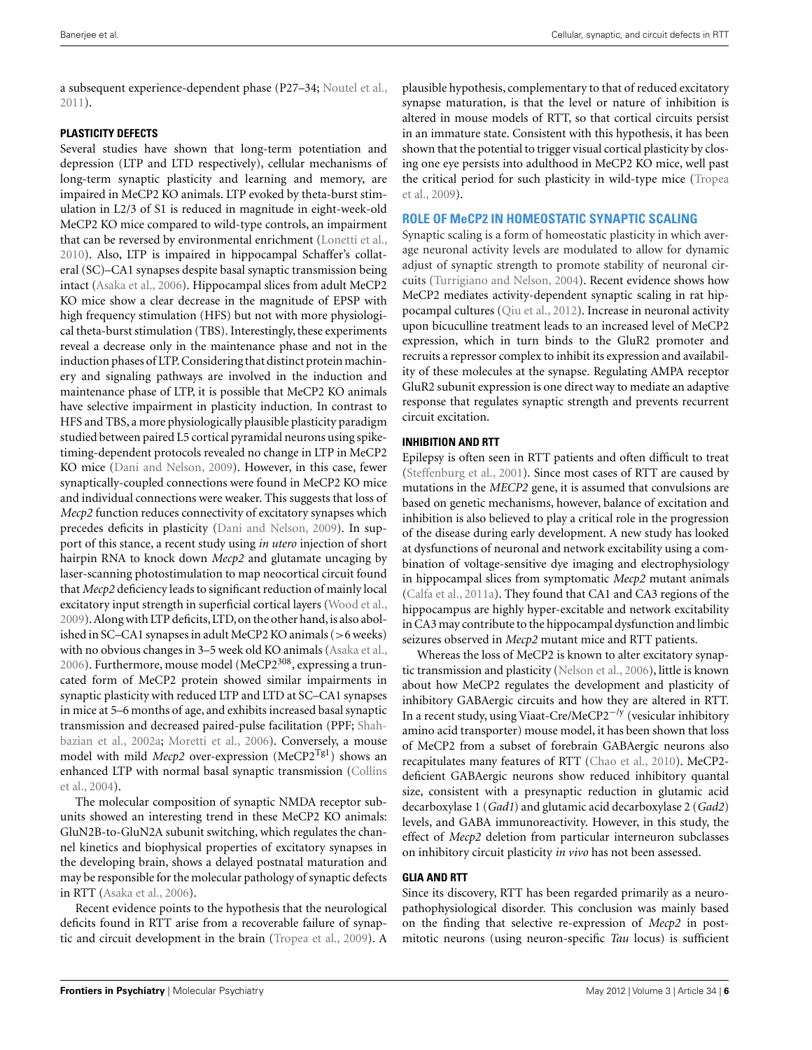a subsequent experience-dependent phase (P27–34; [Noutel et al.,](#page-11-0) [2011\)](#page-11-0).

# **PLASTICITY DEFECTS**

Several studies have shown that long-term potentiation and depression (LTP and LTD respectively), cellular mechanisms of long-term synaptic plasticity and learning and memory, are impaired in MeCP2 KO animals. LTP evoked by theta-burst stimulation in L2/3 of S1 is reduced in magnitude in eight-week-old MeCP2 KO mice compared to wild-type controls, an impairment that can be reversed by environmental enrichment [\(Lonetti et al.,](#page-10-0) [2010\)](#page-10-0). Also, LTP is impaired in hippocampal Schaffer's collateral (SC)–CA1 synapses despite basal synaptic transmission being intact [\(Asaka et al., 2006](#page-9-0)). Hippocampal slices from adult MeCP2 KO mice show a clear decrease in the magnitude of EPSP with high frequency stimulation (HFS) but not with more physiological theta-burst stimulation (TBS). Interestingly, these experiments reveal a decrease only in the maintenance phase and not in the induction phases of LTP. Considering that distinct protein machinery and signaling pathways are involved in the induction and maintenance phase of LTP, it is possible that MeCP2 KO animals have selective impairment in plasticity induction. In contrast to HFS and TBS, a more physiologically plausible plasticity paradigm studied between paired L5 cortical pyramidal neurons using spiketiming-dependent protocols revealed no change in LTP in MeCP2 KO mice [\(Dani and Nelson](#page-9-0), [2009](#page-9-0)). However, in this case, fewer synaptically-coupled connections were found in MeCP2 KO mice and individual connections were weaker. This suggests that loss of *Mecp2* function reduces connectivity of excitatory synapses which precedes deficits in plasticity [\(Dani and Nelson](#page-9-0), [2009](#page-9-0)). In support of this stance, a recent study using *in utero* injection of short hairpin RNA to knock down *Mecp2* and glutamate uncaging by laser-scanning photostimulation to map neocortical circuit found that *Mecp2* deficiency leads to significant reduction of mainly local excitatory input strength in superficial cortical layers [\(Wood et al.,](#page-12-0) [2009\)](#page-12-0). Along with LTP deficits, LTD, on the other hand, is also abolished in SC–CA1 synapses in adult MeCP2 KO animals (>6 weeks) with no obvious changes in 3–5 week old KO animals [\(Asaka et al.,](#page-9-0) [2006\)](#page-9-0). Furthermore, mouse model (MeCP $2^{308}$ , expressing a truncated form of MeCP2 protein showed similar impairments in synaptic plasticity with reduced LTP and LTD at SC–CA1 synapses in mice at 5–6 months of age, and exhibits increased basal synaptic transmission and decreased paired-pulse facilitation (PPF; Shahbazian et al., [2002a](#page-11-0); [Moretti et al.](#page-11-0), [2006\)](#page-11-0). Conversely, a mouse model with mild *Mecp2* over-expression (MeCP2<sup>Tg1</sup>) shows an enh[anced LTP with normal basal synaptic transmission \(](#page-9-0)Collins et al., [2004\)](#page-9-0).

The molecular composition of synaptic NMDA receptor subunits showed an interesting trend in these MeCP2 KO animals: GluN2B-to-GluN2A subunit switching, which regulates the channel kinetics and biophysical properties of excitatory synapses in the developing brain, shows a delayed postnatal maturation and may be responsible for the molecular pathology of synaptic defects in RTT [\(Asaka et al.](#page-9-0), [2006\)](#page-9-0).

Recent evidence points to the hypothesis that the neurological deficits found in RTT arise from a recoverable failure of synaptic and circuit development in the brain [\(Tropea et al.](#page-11-0), [2009](#page-11-0)). A

plausible hypothesis, complementary to that of reduced excitatory synapse maturation, is that the level or nature of inhibition is altered in mouse models of RTT, so that cortical circuits persist in an immature state. Consistent with this hypothesis, it has been shown that the potential to trigger visual cortical plasticity by closing one eye persists into adulthood in MeCP2 KO mice, well past the [critical period for such plasticity in wild-type mice \(](#page-11-0)Tropea et al., [2009\)](#page-11-0).

# **ROLE OF MeCP2 IN HOMEOSTATIC SYNAPTIC SCALING**

Synaptic scaling is a form of homeostatic plasticity in which average neuronal activity levels are modulated to allow for dynamic adjust of synaptic strength to promote stability of neuronal circuits [\(Turrigiano and Nelson, 2004](#page-11-0)). Recent evidence shows how MeCP2 mediates activity-dependent synaptic scaling in rat hippocampal cultures [\(Qiu et al.](#page-11-0), [2012](#page-11-0)). Increase in neuronal activity upon bicuculline treatment leads to an increased level of MeCP2 expression, which in turn binds to the GluR2 promoter and recruits a repressor complex to inhibit its expression and availability of these molecules at the synapse. Regulating AMPA receptor GluR2 subunit expression is one direct way to mediate an adaptive response that regulates synaptic strength and prevents recurrent circuit excitation.

# **INHIBITION AND RTT**

Epilepsy is often seen in RTT patients and often difficult to treat [\(Steffenburg et al., 2001](#page-11-0)). Since most cases of RTT are caused by mutations in the *MECP2* gene, it is assumed that convulsions are based on genetic mechanisms, however, balance of excitation and inhibition is also believed to play a critical role in the progression of the disease during early development. A new study has looked at dysfunctions of neuronal and network excitability using a combination of voltage-sensitive dye imaging and electrophysiology in hippocampal slices from symptomatic *Mecp2* mutant animals [\(Calfa et al.](#page-9-0), [2011a\)](#page-9-0). They found that CA1 and CA3 regions of the hippocampus are highly hyper-excitable and network excitability in CA3 may contribute to the hippocampal dysfunction and limbic seizures observed in *Mecp2* mutant mice and RTT patients.

Whereas the loss of MeCP2 is known to alter excitatory synaptic transmission and plasticity [\(Nelson et al.](#page-11-0), [2006](#page-11-0)), little is known about how MeCP2 regulates the development and plasticity of inhibitory GABAergic circuits and how they are altered in RTT. In a recent study, using Viaat-Cre/MeCP2−/y (vesicular inhibitory amino acid transporter) mouse model, it has been shown that loss of MeCP2 from a subset of forebrain GABAergic neurons also recapitulates many features of RTT [\(Chao et al.](#page-9-0), [2010\)](#page-9-0). MeCP2 deficient GABAergic neurons show reduced inhibitory quantal size, consistent with a presynaptic reduction in glutamic acid decarboxylase 1 (*Gad1*) and glutamic acid decarboxylase 2 (*Gad2*) levels, and GABA immunoreactivity. However, in this study, the effect of *Mecp2* deletion from particular interneuron subclasses on inhibitory circuit plasticity *in vivo* has not been assessed.

#### **GLIA AND RTT**

Since its discovery, RTT has been regarded primarily as a neuropathophysiological disorder. This conclusion was mainly based on the finding that selective re-expression of *Mecp2* in postmitotic neurons (using neuron-specific *Tau* locus) is sufficient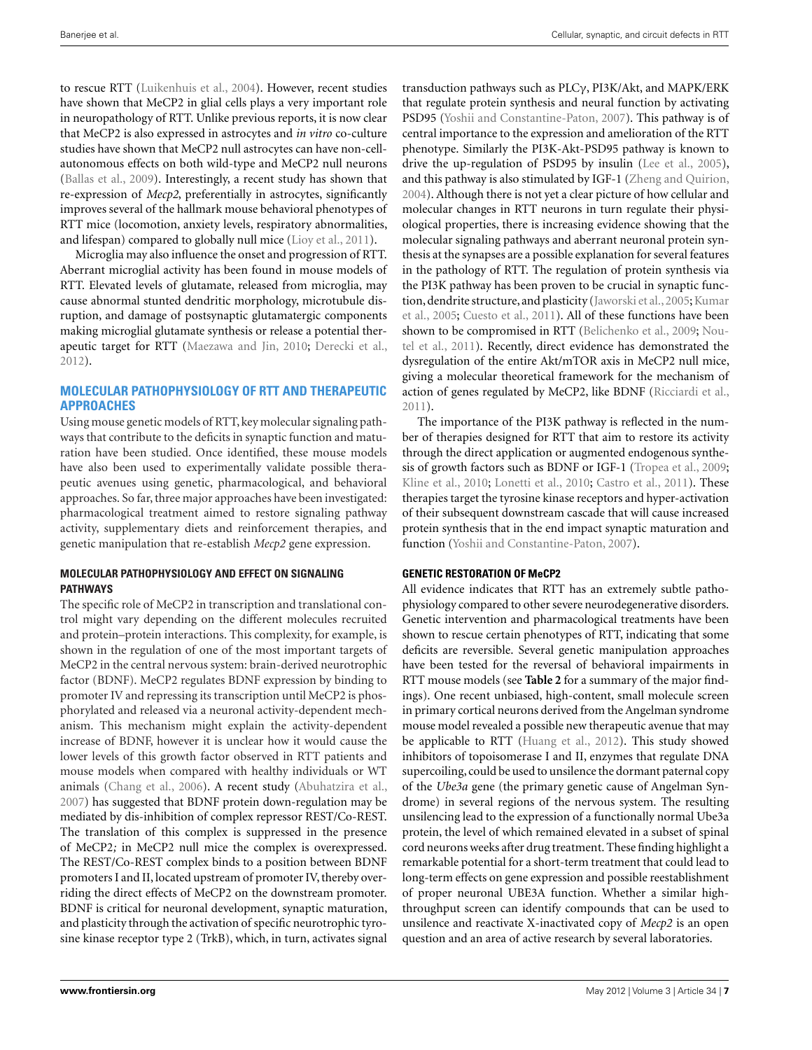to rescue RTT [\(Luikenhuis et al., 2004\)](#page-10-0). However, recent studies have shown that MeCP2 in glial cells plays a very important role in neuropathology of RTT. Unlike previous reports, it is now clear that MeCP2 is also expressed in astrocytes and *in vitro* co-culture studies have shown that MeCP2 null astrocytes can have non-cellautonomous effects on both wild-type and MeCP2 null neurons [\(Ballas et al., 2009\)](#page-9-0). Interestingly, a recent study has shown that re-expression of *Mecp2*, preferentially in astrocytes, significantly improves several of the hallmark mouse behavioral phenotypes of RTT mice (locomotion, anxiety levels, respiratory abnormalities, and lifespan) compared to globally null mice [\(Lioy et al.](#page-10-0), [2011\)](#page-10-0).

Microglia may also influence the onset and progression of RTT. Aberrant microglial activity has been found in mouse models of RTT. Elevated levels of glutamate, released from microglia, may cause abnormal stunted dendritic morphology, microtubule disruption, and damage of postsynaptic glutamatergic components making microglial glutamate synthesis or release a potential therapeutic target for RTT [\(Maezawa and Jin](#page-10-0), [2010;](#page-10-0) [Derecki et al.,](#page-10-0) [2012\)](#page-10-0).

# **MOLECULAR PATHOPHYSIOLOGY OF RTT AND THERAPEUTIC APPROACHES**

Using mouse genetic models of RTT, key molecular signaling pathways that contribute to the deficits in synaptic function and maturation have been studied. Once identified, these mouse models have also been used to experimentally validate possible therapeutic avenues using genetic, pharmacological, and behavioral approaches. So far, three major approaches have been investigated: pharmacological treatment aimed to restore signaling pathway activity, supplementary diets and reinforcement therapies, and genetic manipulation that re-establish *Mecp2* gene expression.

#### **MOLECULAR PATHOPHYSIOLOGY AND EFFECT ON SIGNALING PATHWAYS**

The specific role of MeCP2 in transcription and translational control might vary depending on the different molecules recruited and protein–protein interactions. This complexity, for example, is shown in the regulation of one of the most important targets of MeCP2 in the central nervous system: brain-derived neurotrophic factor (BDNF). MeCP2 regulates BDNF expression by binding to promoter IV and repressing its transcription until MeCP2 is phosphorylated and released via a neuronal activity-dependent mechanism. This mechanism might explain the activity-dependent increase of BDNF, however it is unclear how it would cause the lower levels of this growth factor observed in RTT patients and mouse models when compared with healthy individuals or WT animals [\(Chang et al.](#page-9-0), [2006\)](#page-9-0). A recent study [\(Abuhatzira et al.,](#page-9-0) [2007\)](#page-9-0) has suggested that BDNF protein down-regulation may be mediated by dis-inhibition of complex repressor REST/Co-REST. The translation of this complex is suppressed in the presence of MeCP2*;* in MeCP2 null mice the complex is overexpressed. The REST/Co-REST complex binds to a position between BDNF promoters I and II, located upstream of promoter IV, thereby overriding the direct effects of MeCP2 on the downstream promoter. BDNF is critical for neuronal development, synaptic maturation, and plasticity through the activation of specific neurotrophic tyrosine kinase receptor type 2 (TrkB), which, in turn, activates signal

transduction pathways such as PLCγ, PI3K/Akt, and MAPK/ERK that regulate protein synthesis and neural function by activating PSD95 [\(Yoshii and Constantine-Paton](#page-12-0), [2007\)](#page-12-0). This pathway is of central importance to the expression and amelioration of the RTT phenotype. Similarly the PI3K-Akt-PSD95 pathway is known to drive the up-regulation of PSD95 by insulin [\(Lee et al., 2005](#page-10-0)), and this pathway is also stimulated by IGF-1 [\(Zheng and Quirion,](#page-12-0) [2004\)](#page-12-0). Although there is not yet a clear picture of how cellular and molecular changes in RTT neurons in turn regulate their physiological properties, there is increasing evidence showing that the molecular signaling pathways and aberrant neuronal protein synthesis at the synapses are a possible explanation for several features in the pathology of RTT. The regulation of protein synthesis via the PI3K pathway has been proven to be crucial in synaptic function, [dendrite](#page-10-0) [structure,](#page-10-0) [and](#page-10-0) [plasticity](#page-10-0) (Jaworski et al., 2005; Kumar et al., [2005;](#page-10-0) [Cuesto et al.](#page-9-0), [2011](#page-9-0)). All of these functions have been shown t[o](#page-11-0) [be](#page-11-0) [compromised](#page-11-0) [in](#page-11-0) [RTT](#page-11-0) [\(Belichenko et al.](#page-9-0)[,](#page-11-0) [2009](#page-9-0)[;](#page-11-0) Noutel et al., [2011\)](#page-11-0). Recently, direct evidence has demonstrated the dysregulation of the entire Akt/mTOR axis in MeCP2 null mice, giving a molecular theoretical framework for the mechanism of action of genes regulated by MeCP2, like BDNF [\(Ricciardi et al.,](#page-11-0) [2011\)](#page-11-0).

The importance of the PI3K pathway is reflected in the number of therapies designed for RTT that aim to restore its activity through the direct application or augmented endogenous synthesis of growth factors such as BDNF or IGF-1 [\(Tropea et al.](#page-11-0), [2009;](#page-11-0) [Kline et al.](#page-10-0), [2010](#page-10-0); [Lonetti et al., 2010;](#page-10-0) [Castro et al.](#page-9-0), [2011](#page-9-0)). These therapies target the tyrosine kinase receptors and hyper-activation of their subsequent downstream cascade that will cause increased protein synthesis that in the end impact synaptic maturation and function [\(Yoshii and Constantine-Paton, 2007\)](#page-12-0).

#### **GENETIC RESTORATION OF MeCP2**

All evidence indicates that RTT has an extremely subtle pathophysiology compared to other severe neurodegenerative disorders. Genetic intervention and pharmacological treatments have been shown to rescue certain phenotypes of RTT, indicating that some deficits are reversible. Several genetic manipulation approaches have been tested for the reversal of behavioral impairments in RTT mouse models (see **[Table 2](#page-7-0)** for a summary of the major findings). One recent unbiased, high-content, small molecule screen in primary cortical neurons derived from the Angelman syndrome mouse model revealed a possible new therapeutic avenue that may be applicable to RTT [\(Huang et al.](#page-10-0), [2012\)](#page-10-0). This study showed inhibitors of topoisomerase I and II, enzymes that regulate DNA supercoiling, could be used to unsilence the dormant paternal copy of the *Ube3a* gene (the primary genetic cause of Angelman Syndrome) in several regions of the nervous system. The resulting unsilencing lead to the expression of a functionally normal Ube3a protein, the level of which remained elevated in a subset of spinal cord neurons weeks after drug treatment. These finding highlight a remarkable potential for a short-term treatment that could lead to long-term effects on gene expression and possible reestablishment of proper neuronal UBE3A function. Whether a similar highthroughput screen can identify compounds that can be used to unsilence and reactivate X-inactivated copy of *Mecp2* is an open question and an area of active research by several laboratories.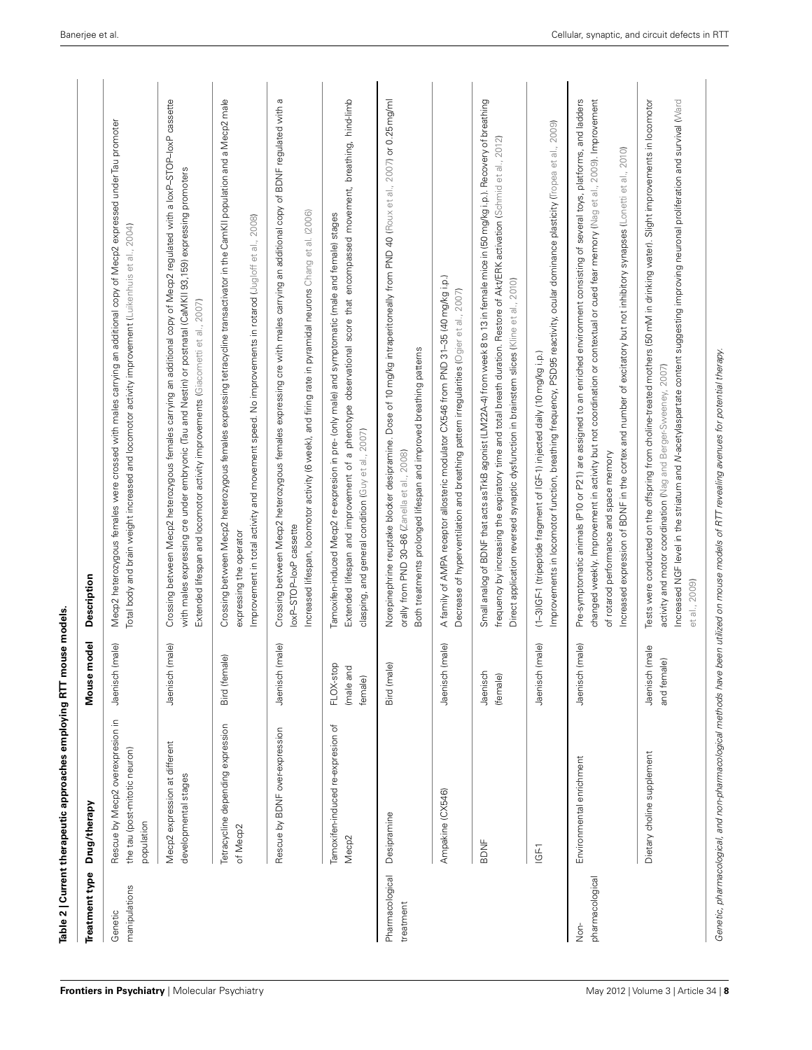<span id="page-7-0"></span>

| Treatment type               | Drug/therapy                                                                    | <b>Jebo</b><br>Mouse m            | Description                                                                                                                                                                                                                                                                                                                                                                                                                            |
|------------------------------|---------------------------------------------------------------------------------|-----------------------------------|----------------------------------------------------------------------------------------------------------------------------------------------------------------------------------------------------------------------------------------------------------------------------------------------------------------------------------------------------------------------------------------------------------------------------------------|
| manipulations<br>Genetic     | Rescue by Mecp2 overexpresion in<br>the tau (post-mitotic neuron)<br>population | Jaenisch (male)                   | Meop2 heterozygous females were crossed with males carrying an additional copy of Meop2 expressed under Tau promoter<br>Total body and brain weight increased and locomotor activity improvement (Luikenhuis et al., 2004)                                                                                                                                                                                                             |
|                              | Mecp2 expression at different<br>developmental stages                           | Jaenisch (male)                   | Crossing between Mecp2 heterozygous females carrying an additional copy of Mecp2 regulated with a loxP–STOP–loxP cassette<br>with males expressing ore under embryonic (Tau and Nestin) or postnatal (CaMKII 93, 159) expressing promoters<br>Extended lifespan and locomotor activity improvements (Giacometti et al., 2007)                                                                                                          |
|                              | Tetracycline depending expression<br>of Mecp2                                   | $\widehat{\Phi}$<br>Bird (femal   | Crossing between Mecp2 heterozygous females expressing tetracycline transactivator in the CamKll population and a Mecp2 male<br>Improvement in total activity and movement speed. No improvements in rotarod (Jugloff et al., 2008)<br>expressing the operator                                                                                                                                                                         |
|                              | Rescue by BDNF over-expression                                                  | Jaenisch (male)                   | Crossing between Mecp2 heterozygous females expressing cre with males carrying an additional copy of BDNF regulated with a<br>Increased lifespan, locomotor activity (6 week), and firing rate in pyramidal neurons Chang et al. (2006)<br>loxP-STOP-loxP cassette                                                                                                                                                                     |
|                              | Tamoxifen-induced re-expresion of<br>Mecp <sub>2</sub>                          | FLOX-stop<br>(male and<br>female) | Extended lifespan and improvement of a phenotype observational score that encompassed movement, breathing, hind-limb<br>Tamoxifen-induced Mecp2 re-expresion in pre- (only male) and symptomatic (male and female) stages<br>clasping, and general condition (Guy et al., 2007)                                                                                                                                                        |
| Pharmacological<br>treatment | Desipramine                                                                     | Bird (male)                       | Norepinephrine reuptake blocker desipramine. Dose of 10 mg/kg intraperitoneally from PND 40 (Roux et al., 2007) or 0.25 mg/ml<br>Both treatments prolonged lifespan and improved breathing patterns<br>orally from PND 30-86 (Zanella et al., 2008)                                                                                                                                                                                    |
|                              | Ampakine (CX546)                                                                | Jaenisch (male)                   | A family of AMPA receptor allosteric modulator CX546 from PND 31-35 (40 mg/kg i.p.)<br>Decrease of hyperventilation and breathing pattern irregularities (Ogier et al., 2007)                                                                                                                                                                                                                                                          |
|                              | <b>BDNF</b>                                                                     | Jaenisch<br>(female)              | Small analog of BDNF that acts as TrkB agonist (LIM22A-4) from week 8 to 13 in female mice in (50 mg/kg i.p.). Recovery of breathing<br>, 2012)<br>frequency by increasing the expiratory time and total breath duration. Restore of Akt/ERK activation (Schmid et al.,<br>Direct application reversed synaptic dysfunction in brainstem slices (Kline et al., 2010)                                                                   |
|                              | 16F1                                                                            | Jaenisch (male)                   | 2009)<br>Improvements in locomotor function, breathing frequency, PSD95 reactivity, ocular dominance plasticity (liopea et al.,<br>(1-3)IGF-1 (tripeptide fragment of IGF-1) injected daily (10 mg/kg i.p.)                                                                                                                                                                                                                            |
| pharmacologica<br>Non-       | Environmental enrichment                                                        | Jaenisch (male)                   | changed weekly. Improvement in activity but not coordination or contextual or cued fear memory (Nag et al., 2009). Improvement<br>Pre-symptomatic animals (P10 or P21) are assigned to an enriched environment consisting of several toys, platforms, and ladders<br>Increased expression of BDNF in the cortex and number of excitatory but not inhibitory synapses (Lonetti et al., 2010)<br>of rotarod performance and space memory |
|                              | Dietary choline supplement                                                      | Jaenisch (male<br>and female)     | Tests were conducted on the offspring from choline-treated mothers (50 mM in drinking water). Slight improvements in locomotor<br>Increased NGF level in the striatum and M-acetylaspartate content suggesting improving neuronal proliferation and survival (Ward<br>activity and motor coordination (Nag and Berger-Sweeney, 2007)<br>et al., 2009)                                                                                  |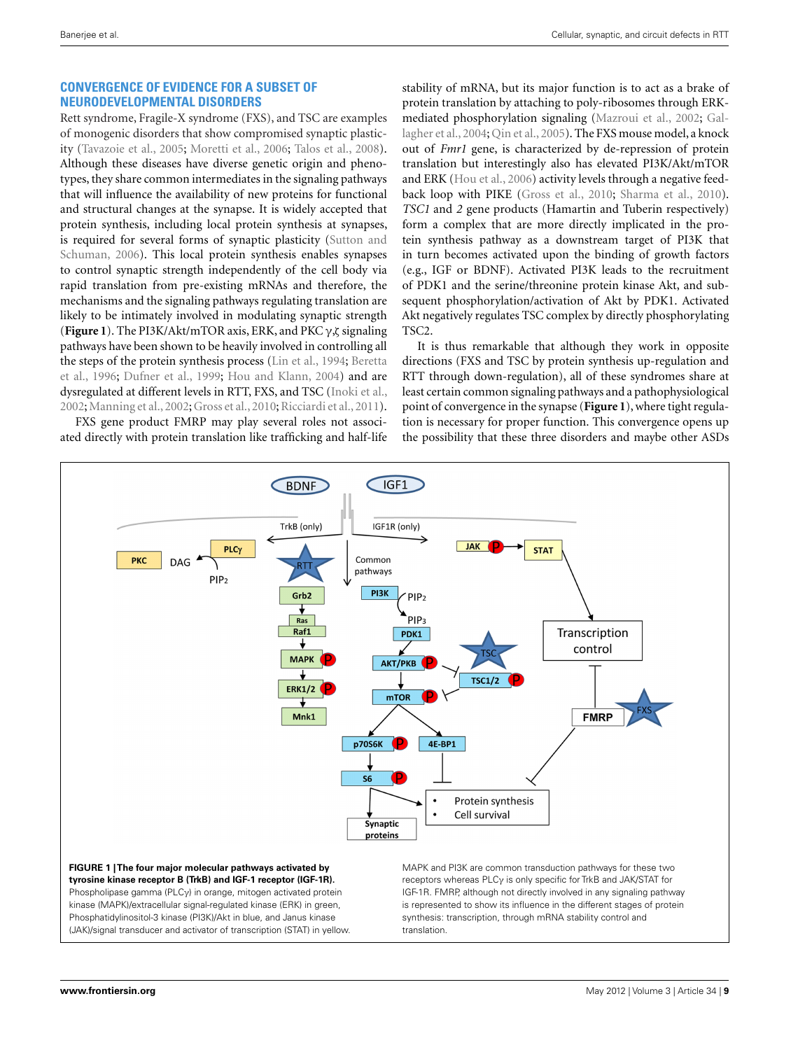# **CONVERGENCE OF EVIDENCE FOR A SUBSET OF NEURODEVELOPMENTAL DISORDERS**

Rett syndrome, Fragile-X syndrome (FXS), and TSC are examples of monogenic disorders that show compromised synaptic plasticity [\(Tavazoie et al.](#page-11-0), [2005](#page-11-0); [Moretti et al., 2006;](#page-11-0) [Talos et al.](#page-11-0), [2008](#page-11-0)). Although these diseases have diverse genetic origin and phenotypes, they share common intermediates in the signaling pathways that will influence the availability of new proteins for functional and structural changes at the synapse. It is widely accepted that protein synthesis, including local protein synthesis at synapses, is requir[ed for several forms of synaptic plasticity \(](#page-11-0)Sutton and Schuman, [2006](#page-11-0)). This local protein synthesis enables synapses to control synaptic strength independently of the cell body via rapid translation from pre-existing mRNAs and therefore, the mechanisms and the signaling pathways regulating translation are likely to be intimately involved in modulating synaptic strength (**Figure 1**). The PI3K/Akt/mTOR axis, ERK, and PKC γ,ζsignaling pathways have been shown to be heavily involved in controlling all the s[teps](#page-9-0) [of](#page-9-0) [the](#page-9-0) [protein](#page-9-0) [synthesis](#page-9-0) [process](#page-9-0) [\(Lin et al.](#page-10-0)[,](#page-9-0) [1994;](#page-10-0) Beretta et al., [1996;](#page-9-0) [Dufner et al., 1999](#page-10-0); [Hou and Klann, 2004](#page-10-0)) and are dysregulated at different levels in RTT, FXS, and TSC [\(Inoki et al.,](#page-10-0) [2002;](#page-10-0) [Manning et al., 2002;](#page-10-0) [Gross et al., 2010](#page-10-0); [Ricciardi et al.](#page-11-0), [2011](#page-11-0)).

FXS gene product FMRP may play several roles not associated directly with protein translation like trafficking and half-life

stability of mRNA, but its major function is to act as a brake of protein translation by attaching to poly-ribosomes through ERKmediated [phosphorylation signaling \(Mazroui et al., 2002;](#page-10-0) Gallagher et al., [2004](#page-10-0); [Qin et al.](#page-11-0), [2005](#page-11-0)). The FXS mouse model, a knock out of *Fmr1* gene, is characterized by de-repression of protein translation but interestingly also has elevated PI3K/Akt/mTOR and ERK [\(Hou et al.](#page-10-0), [2006](#page-10-0)) activity levels through a negative feedback loop with PIKE [\(Gross et al.](#page-10-0), [2010](#page-10-0); [Sharma et al.](#page-11-0), [2010](#page-11-0)). *TSC1* and *2* gene products (Hamartin and Tuberin respectively) form a complex that are more directly implicated in the protein synthesis pathway as a downstream target of PI3K that in turn becomes activated upon the binding of growth factors (e.g., IGF or BDNF). Activated PI3K leads to the recruitment of PDK1 and the serine/threonine protein kinase Akt, and subsequent phosphorylation/activation of Akt by PDK1. Activated Akt negatively regulates TSC complex by directly phosphorylating TSC2.

It is thus remarkable that although they work in opposite directions (FXS and TSC by protein synthesis up-regulation and RTT through down-regulation), all of these syndromes share at least certain common signaling pathways and a pathophysiological point of convergence in the synapse (**Figure 1**), where tight regulation is necessary for proper function. This convergence opens up the possibility that these three disorders and maybe other ASDs

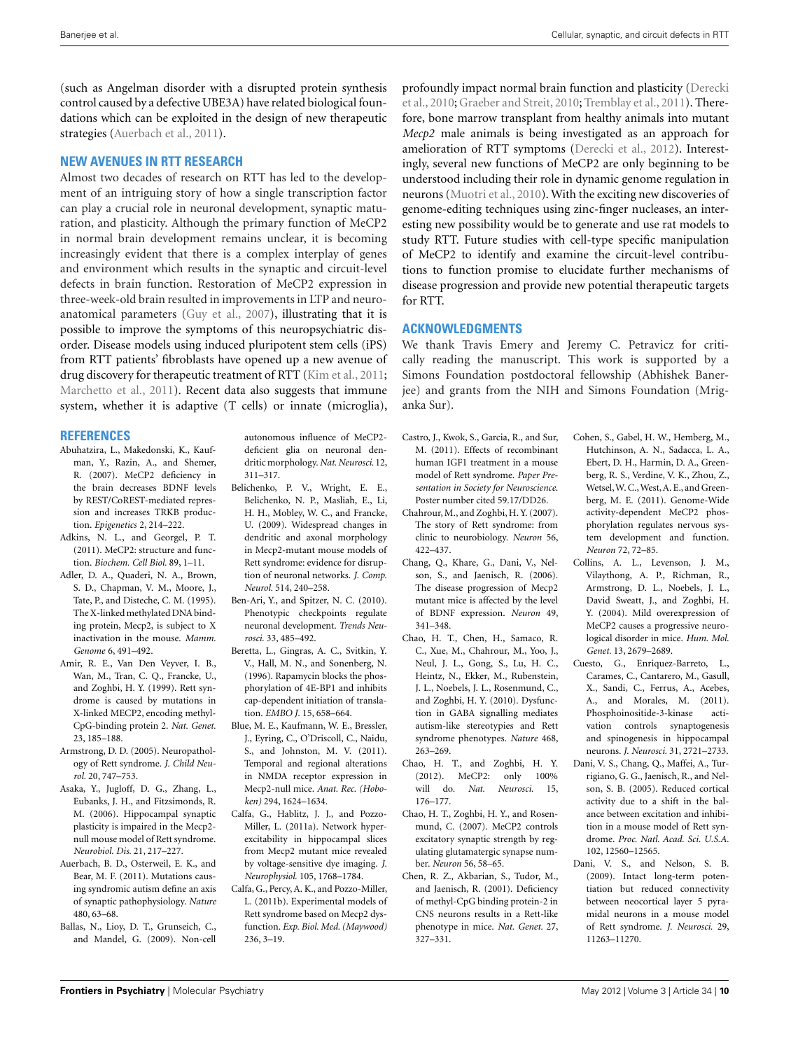<span id="page-9-0"></span>(such as Angelman disorder with a disrupted protein synthesis control caused by a defective UBE3A) have related biological foundations which can be exploited in the design of new therapeutic strategies (Auerbach et al., 2011).

#### **NEW AVENUES IN RTT RESEARCH**

Almost two decades of research on RTT has led to the development of an intriguing story of how a single transcription factor can play a crucial role in neuronal development, synaptic maturation, and plasticity. Although the primary function of MeCP2 in normal brain development remains unclear, it is becoming increasingly evident that there is a complex interplay of genes and environment which results in the synaptic and circuit-level defects in brain function. Restoration of MeCP2 expression in three-week-old brain resulted in improvements in LTP and neuroanatomical parameters [\(Guy et al., 2007\)](#page-10-0), illustrating that it is possible to improve the symptoms of this neuropsychiatric disorder. Disease models using induced pluripotent stem cells (iPS) from RTT patients' fibroblasts have opened up a new avenue of drug discovery for therapeutic treatment of RTT [\(Kim et al., 2011;](#page-10-0) [Marchetto et al.](#page-10-0), [2011\)](#page-10-0). Recent data also suggests that immune system, whether it is adaptive (T cells) or innate (microglia),

#### **REFERENCES**

- Abuhatzira, L., Makedonski, K., Kaufman, Y., Razin, A., and Shemer, R. (2007). MeCP2 deficiency in the brain decreases BDNF levels by REST/CoREST-mediated repression and increases TRKB production. *Epigenetics* 2, 214–222.
- Adkins, N. L., and Georgel, P. T. (2011). MeCP2: structure and function. *Biochem. Cell Biol.* 89, 1–11.
- Adler, D. A., Quaderi, N. A., Brown, S. D., Chapman, V. M., Moore, J., Tate, P., and Disteche, C. M. (1995). The X-linked methylated DNA binding protein, Mecp2, is subject to X inactivation in the mouse. *Mamm. Genome* 6, 491–492.
- Amir, R. E., Van Den Veyver, I. B., Wan, M., Tran, C. Q., Francke, U., and Zoghbi, H. Y. (1999). Rett syndrome is caused by mutations in X-linked MECP2, encoding methyl-CpG-binding protein 2. *Nat. Genet.* 23, 185–188.
- Armstrong, D. D. (2005). Neuropathology of Rett syndrome. *J. Child Neurol.* 20, 747–753.
- Asaka, Y., Jugloff, D. G., Zhang, L., Eubanks, J. H., and Fitzsimonds, R. M. (2006). Hippocampal synaptic plasticity is impaired in the Mecp2 null mouse model of Rett syndrome. *Neurobiol. Dis.* 21, 217–227.
- Auerbach, B. D., Osterweil, E. K., and Bear, M. F. (2011). Mutations causing syndromic autism define an axis of synaptic pathophysiology. *Nature* 480, 63–68.
- Ballas, N., Lioy, D. T., Grunseich, C., and Mandel, G. (2009). Non-cell

autonomous influence of MeCP2 deficient glia on neuronal dendritic morphology.*Nat. Neurosci.* 12, 311–317.

- Belichenko, P. V., Wright, E. E., Belichenko, N. P., Masliah, E., Li, H. H., Mobley, W. C., and Francke, U. (2009). Widespread changes in dendritic and axonal morphology in Mecp2-mutant mouse models of Rett syndrome: evidence for disruption of neuronal networks. *J. Comp. Neurol.* 514, 240–258.
- Ben-Ari, Y., and Spitzer, N. C. (2010). Phenotypic checkpoints regulate neuronal development. *Trends Neurosci.* 33, 485–492.
- Beretta, L., Gingras, A. C., Svitkin, Y. V., Hall, M. N., and Sonenberg, N. (1996). Rapamycin blocks the phosphorylation of 4E-BP1 and inhibits cap-dependent initiation of translation. *EMBO J.* 15, 658–664.
- Blue, M. E., Kaufmann, W. E., Bressler, J., Eyring, C., O'Driscoll, C., Naidu, S., and Johnston, M. V. (2011). Temporal and regional alterations in NMDA receptor expression in Mecp2-null mice. *Anat. Rec. (Hoboken)* 294, 1624–1634.
- Calfa, G., Hablitz, J. J., and Pozzo-Miller, L. (2011a). Network hyperexcitability in hippocampal slices from Mecp2 mutant mice revealed by voltage-sensitive dye imaging. *J. Neurophysiol.* 105, 1768–1784.
- Calfa, G., Percy, A. K., and Pozzo-Miller, L. (2011b). Experimental models of Rett syndrome based on Mecp2 dysfunction. *Exp. Biol. Med. (Maywood)* 236, 3–19.

prof[oundly impact normal brain function and plasticity \(](#page-10-0)Derecki et al.[, 2010;](#page-10-0) [Graeber and Streit, 2010;](#page-10-0) [Tremblay et al.](#page-11-0), [2011\)](#page-11-0). Therefore, bone marrow transplant from healthy animals into mutant *Mecp2* male animals is being investigated as an approach for amelioration of RTT symptoms [\(Derecki et al.](#page-10-0), [2012\)](#page-10-0). Interestingly, several new functions of MeCP2 are only beginning to be understood including their role in dynamic genome regulation in neurons [\(Muotri et al.](#page-11-0), [2010](#page-11-0)). With the exciting new discoveries of genome-editing techniques using zinc-finger nucleases, an interesting new possibility would be to generate and use rat models to study RTT. Future studies with cell-type specific manipulation of MeCP2 to identify and examine the circuit-level contributions to function promise to elucidate further mechanisms of disease progression and provide new potential therapeutic targets for RTT.

### **ACKNOWLEDGMENTS**

We thank Travis Emery and Jeremy C. Petravicz for critically reading the manuscript. This work is supported by a Simons Foundation postdoctoral fellowship (Abhishek Banerjee) and grants from the NIH and Simons Foundation (Mriganka Sur).

- Castro, J., Kwok, S., Garcia, R., and Sur, M. (2011). Effects of recombinant human IGF1 treatment in a mouse model of Rett syndrome. *Paper Presentation in Society for Neuroscience*. Poster number cited 59.17/DD26.
- Chahrour, M., and Zoghbi, H. Y. (2007). The story of Rett syndrome: from clinic to neurobiology. *Neuron* 56, 422–437.
- Chang, Q., Khare, G., Dani, V., Nelson, S., and Jaenisch, R. (2006). The disease progression of Mecp2 mutant mice is affected by the level of BDNF expression. *Neuron* 49, 341–348.
- Chao, H. T., Chen, H., Samaco, R. C., Xue, M., Chahrour, M., Yoo, J., Neul, J. L., Gong, S., Lu, H. C., Heintz, N., Ekker, M., Rubenstein, J. L., Noebels, J. L., Rosenmund, C., and Zoghbi, H. Y. (2010). Dysfunction in GABA signalling mediates autism-like stereotypies and Rett syndrome phenotypes. *Nature* 468, 263–269.
- Chao, H. T., and Zoghbi, H. Y. (2012). MeCP2: only 100% will do. *Nat. Neurosci.* 15, 176–177.
- Chao, H. T., Zoghbi, H. Y., and Rosenmund, C. (2007). MeCP2 controls excitatory synaptic strength by regulating glutamatergic synapse number. *Neuron* 56, 58–65.
- Chen, R. Z., Akbarian, S., Tudor, M., and Jaenisch, R. (2001). Deficiency of methyl-CpG binding protein-2 in CNS neurons results in a Rett-like phenotype in mice. *Nat. Genet.* 27, 327–331.
- Cohen, S., Gabel, H. W., Hemberg, M., Hutchinson, A. N., Sadacca, L. A., Ebert, D. H., Harmin, D. A., Greenberg, R. S., Verdine, V. K., Zhou, Z., Wetsel,W. C.,West,A. E., and Greenberg, M. E. (2011). Genome-Wide activity-dependent MeCP2 phosphorylation regulates nervous system development and function. *Neuron* 72, 72–85.
- Collins, A. L., Levenson, J. M., Vilaythong, A. P., Richman, R., Armstrong, D. L., Noebels, J. L., David Sweatt, J., and Zoghbi, H. Y. (2004). Mild overexpression of MeCP2 causes a progressive neurological disorder in mice. *Hum. Mol. Genet.* 13, 2679–2689.
- Cuesto, G., Enriquez-Barreto, L., Carames, C., Cantarero, M., Gasull, X., Sandi, C., Ferrus, A., Acebes, A., and Morales, M. (2011). Phosphoinositide-3-kinase activation controls synaptogenesis and spinogenesis in hippocampal neurons. *J. Neurosci.* 31, 2721–2733.
- Dani, V. S., Chang, Q., Maffei, A., Turrigiano, G. G., Jaenisch, R., and Nelson, S. B. (2005). Reduced cortical activity due to a shift in the balance between excitation and inhibition in a mouse model of Rett syndrome. *Proc. Natl. Acad. Sci. U.S.A.* 102, 12560–12565.
- Dani, V. S., and Nelson, S. B. (2009). Intact long-term potentiation but reduced connectivity between neocortical layer 5 pyramidal neurons in a mouse model of Rett syndrome. *J. Neurosci.* 29, 11263–11270.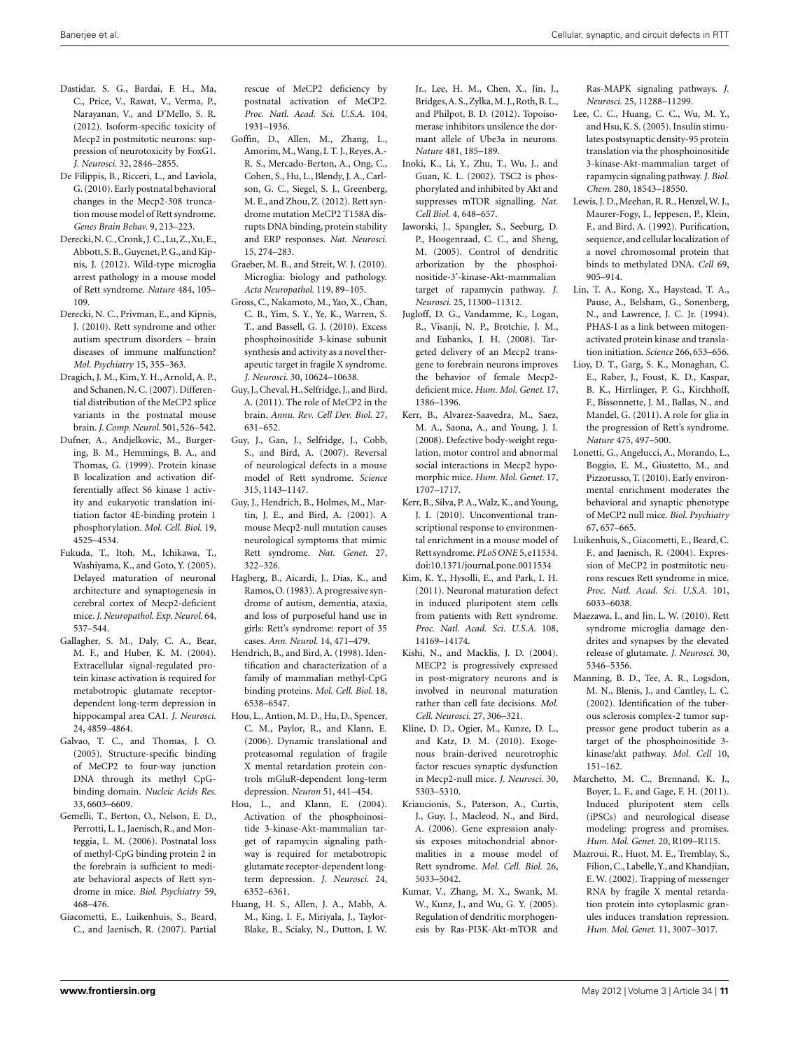- <span id="page-10-0"></span>Dastidar, S. G., Bardai, F. H., Ma, C., Price, V., Rawat, V., Verma, P., Narayanan, V., and D'Mello, S. R. (2012). Isoform-specific toxicity of Mecp2 in postmitotic neurons: suppression of neurotoxicity by FoxG1. *J. Neurosci.* 32, 2846–2855.
- De Filippis, B., Ricceri, L., and Laviola, G. (2010). Early postnatal behavioral changes in the Mecp2-308 truncation mouse model of Rett syndrome. *Genes Brain Behav.* 9, 213–223.
- Derecki,N. C.,Cronk, J. C., Lu,Z.,Xu,E., Abbott,S. B.,Guyenet, P. G., and Kipnis, J. (2012). Wild-type microglia arrest pathology in a mouse model of Rett syndrome. *Nature* 484, 105– 109.
- Derecki, N. C., Privman, E., and Kipnis, J. (2010). Rett syndrome and other autism spectrum disorders – brain diseases of immune malfunction? *Mol. Psychiatry* 15, 355–363.
- Dragich, J. M., Kim, Y. H., Arnold, A. P., and Schanen, N. C. (2007). Differential distribution of the MeCP2 splice variants in the postnatal mouse brain.*J. Comp. Neurol.* 501,526–542.
- Dufner, A., Andjelkovic, M., Burgering, B. M., Hemmings, B. A., and Thomas, G. (1999). Protein kinase B localization and activation differentially affect S6 kinase 1 activity and eukaryotic translation initiation factor 4E-binding protein 1 phosphorylation. *Mol. Cell. Biol.* 19, 4525–4534.
- Fukuda, T., Itoh, M., Ichikawa, T., Washiyama, K., and Goto, Y. (2005). Delayed maturation of neuronal architecture and synaptogenesis in cerebral cortex of Mecp2-deficient mice. *J. Neuropathol. Exp. Neurol.* 64, 537–544.
- Gallagher, S. M., Daly, C. A., Bear, M. F., and Huber, K. M. (2004). Extracellular signal-regulated protein kinase activation is required for metabotropic glutamate receptordependent long-term depression in hippocampal area CA1. *J. Neurosci.* 24, 4859–4864.
- Galvao, T. C., and Thomas, J. O. (2005). Structure-specific binding of MeCP2 to four-way junction DNA through its methyl CpGbinding domain. *Nucleic Acids Res.* 33, 6603–6609.
- Gemelli, T., Berton, O., Nelson, E. D., Perrotti, L. I., Jaenisch, R., and Monteggia, L. M. (2006). Postnatal loss of methyl-CpG binding protein 2 in the forebrain is sufficient to mediate behavioral aspects of Rett syndrome in mice. *Biol. Psychiatry* 59, 468–476.
- Giacometti, E., Luikenhuis, S., Beard, C., and Jaenisch, R. (2007). Partial

rescue of MeCP2 deficiency by postnatal activation of MeCP2. *Proc. Natl. Acad. Sci. U.S.A.* 104, 1931–1936.

- Goffin, D., Allen, M., Zhang, L., Amorim,M.,Wang, I. T. J., Reyes,A.- R. S., Mercado-Berton, A., Ong, C., Cohen, S., Hu, L., Blendy, J. A., Carlson, G. C., Siegel, S. J., Greenberg, M. E., and Zhou, Z. (2012). Rett syndrome mutation MeCP2 T158A disrupts DNA binding, protein stability and ERP responses. *Nat. Neurosci.* 15, 274–283.
- Graeber, M. B., and Streit, W. J. (2010). Microglia: biology and pathology. *Acta Neuropathol.* 119, 89–105.
- Gross, C., Nakamoto, M., Yao, X., Chan, C. B., Yim, S. Y., Ye, K., Warren, S. T., and Bassell, G. J. (2010). Excess phosphoinositide 3-kinase subunit synthesis and activity as a novel therapeutic target in fragile X syndrome. *J. Neurosci.* 30, 10624–10638.
- Guy, J.,Cheval,H., Selfridge, J., and Bird, A. (2011). The role of MeCP2 in the brain. *Annu. Rev. Cell Dev. Biol.* 27, 631–652.
- Guy, J., Gan, J., Selfridge, J., Cobb, S., and Bird, A. (2007). Reversal of neurological defects in a mouse model of Rett syndrome. *Science* 315, 1143–1147.
- Guy, J., Hendrich, B., Holmes, M., Martin, J. E., and Bird, A. (2001). A mouse Mecp2-null mutation causes neurological symptoms that mimic Rett syndrome. *Nat. Genet.* 27, 322–326.
- Hagberg, B., Aicardi, J., Dias, K., and Ramos, O. (1983). A progressive syndrome of autism, dementia, ataxia, and loss of purposeful hand use in girls: Rett's syndrome: report of 35 cases. *Ann. Neurol.* 14, 471–479.
- Hendrich, B., and Bird, A. (1998). Identification and characterization of a family of mammalian methyl-CpG binding proteins. *Mol. Cell. Biol.* 18, 6538–6547.
- Hou, L., Antion, M. D., Hu, D., Spencer, C. M., Paylor, R., and Klann, E. (2006). Dynamic translational and proteasomal regulation of fragile X mental retardation protein controls mGluR-dependent long-term depression. *Neuron* 51, 441–454.
- Hou, L., and Klann, E. (2004). Activation of the phosphoinositide 3-kinase-Akt-mammalian target of rapamycin signaling pathway is required for metabotropic glutamate receptor-dependent longterm depression. *J. Neurosci.* 24, 6352–6361.
- Huang, H. S., Allen, J. A., Mabb, A. M., King, I. F., Miriyala, J., Taylor-Blake, B., Sciaky, N., Dutton, J. W.

Jr., Lee, H. M., Chen, X., Jin, J., Bridges,A. S.,Zylka,M. J.,Roth,B. L., and Philpot, B. D. (2012). Topoisomerase inhibitors unsilence the dormant allele of Ube3a in neurons. *Nature* 481, 185–189.

- Inoki, K., Li, Y., Zhu, T., Wu, J., and Guan, K. L. (2002). TSC2 is phosphorylated and inhibited by Akt and suppresses mTOR signalling. *Nat. Cell Biol.* 4, 648–657.
- Jaworski, J., Spangler, S., Seeburg, D. P., Hoogenraad, C. C., and Sheng, M. (2005). Control of dendritic arborization by the phosphoinositide-3'-kinase-Akt-mammalian target of rapamycin pathway. *J. Neurosci.* 25, 11300–11312.
- Jugloff, D. G., Vandamme, K., Logan, R., Visanji, N. P., Brotchie, J. M., and Eubanks, J. H. (2008). Targeted delivery of an Mecp2 transgene to forebrain neurons improves the behavior of female Mecp2 deficient mice. *Hum. Mol. Genet.* 17, 1386–1396.
- Kerr, B., Alvarez-Saavedra, M., Saez, M. A., Saona, A., and Young, J. I. (2008). Defective body-weight regulation, motor control and abnormal social interactions in Mecp2 hypomorphic mice. *Hum. Mol. Genet.* 17, 1707–1717.
- Kerr, B., Silva, P. A.,Walz, K., and Young, J. I. (2010). Unconventional transcriptional response to environmental enrichment in a mouse model of Rett syndrome. *PLoS ONE* 5, e11534. doi[:10.1371/journal.pone.0011534](http://dx.doi.org/10.1371/journal.pone.0011534)
- Kim, K. Y., Hysolli, E., and Park, I. H. (2011). Neuronal maturation defect in induced pluripotent stem cells from patients with Rett syndrome. *Proc. Natl. Acad. Sci. U.S.A.* 108, 14169–14174.
- Kishi, N., and Macklis, J. D. (2004). MECP2 is progressively expressed in post-migratory neurons and is involved in neuronal maturation rather than cell fate decisions. *Mol. Cell. Neurosci.* 27, 306–321.
- Kline, D. D., Ogier, M., Kunze, D. L., and Katz, D. M. (2010). Exogenous brain-derived neurotrophic factor rescues synaptic dysfunction in Mecp2-null mice. *J. Neurosci.* 30, 5303–5310.
- Kriaucionis, S., Paterson, A., Curtis, J., Guy, J., Macleod, N., and Bird, A. (2006). Gene expression analysis exposes mitochondrial abnormalities in a mouse model of Rett syndrome. *Mol. Cell. Biol.* 26, 5033–5042.
- Kumar, V., Zhang, M. X., Swank, M. W., Kunz, J., and Wu, G. Y. (2005). Regulation of dendritic morphogenesis by Ras-PI3K-Akt-mTOR and

Ras-MAPK signaling pathways. *J. Neurosci.* 25, 11288–11299.

- Lee, C. C., Huang, C. C., Wu, M. Y., and Hsu, K. S. (2005). Insulin stimulates postsynaptic density-95 protein translation via the phosphoinositide 3-kinase-Akt-mammalian target of rapamycin signaling pathway. *J. Biol. Chem.* 280, 18543–18550.
- Lewis, J. D., Meehan, R. R., Henzel, W. J., Maurer-Fogy, I., Jeppesen, P., Klein, F., and Bird, A. (1992). Purification, sequence, and cellular localization of a novel chromosomal protein that binds to methylated DNA. *Cell* 69, 905–914.
- Lin, T. A., Kong, X., Haystead, T. A., Pause, A., Belsham, G., Sonenberg, N., and Lawrence, J. C. Jr. (1994). PHAS-I as a link between mitogenactivated protein kinase and translation initiation. *Science* 266, 653–656.
- Lioy, D. T., Garg, S. K., Monaghan, C. E., Raber, J., Foust, K. D., Kaspar, B. K., Hirrlinger, P. G., Kirchhoff, F., Bissonnette, J. M., Ballas, N., and Mandel, G. (2011). A role for glia in the progression of Rett's syndrome. *Nature* 475, 497–500.
- Lonetti, G., Angelucci, A., Morando, L., Boggio, E. M., Giustetto, M., and Pizzorusso, T. (2010). Early environmental enrichment moderates the behavioral and synaptic phenotype of MeCP2 null mice. *Biol. Psychiatry* 67, 657–665.
- Luikenhuis, S., Giacometti, E., Beard, C. F., and Jaenisch, R. (2004). Expression of MeCP2 in postmitotic neurons rescues Rett syndrome in mice. *Proc. Natl. Acad. Sci. U.S.A.* 101, 6033–6038.
- Maezawa, I., and Jin, L. W. (2010). Rett syndrome microglia damage dendrites and synapses by the elevated release of glutamate. *J. Neurosci.* 30, 5346–5356.
- Manning, B. D., Tee, A. R., Logsdon, M. N., Blenis, J., and Cantley, L. C. (2002). Identification of the tuberous sclerosis complex-2 tumor suppressor gene product tuberin as a target of the phosphoinositide 3 kinase/akt pathway. *Mol. Cell* 10, 151–162.
- Marchetto, M. C., Brennand, K. J., Boyer, L. F., and Gage, F. H. (2011). Induced pluripotent stem cells (iPSCs) and neurological disease modeling: progress and promises. *Hum. Mol. Genet.* 20, R109–R115.
- Mazroui, R., Huot, M. E., Tremblay, S., Filion, C., Labelle,Y., and Khandjian, E. W. (2002). Trapping of messenger RNA by fragile X mental retardation protein into cytoplasmic granules induces translation repression. *Hum. Mol. Genet.* 11, 3007–3017.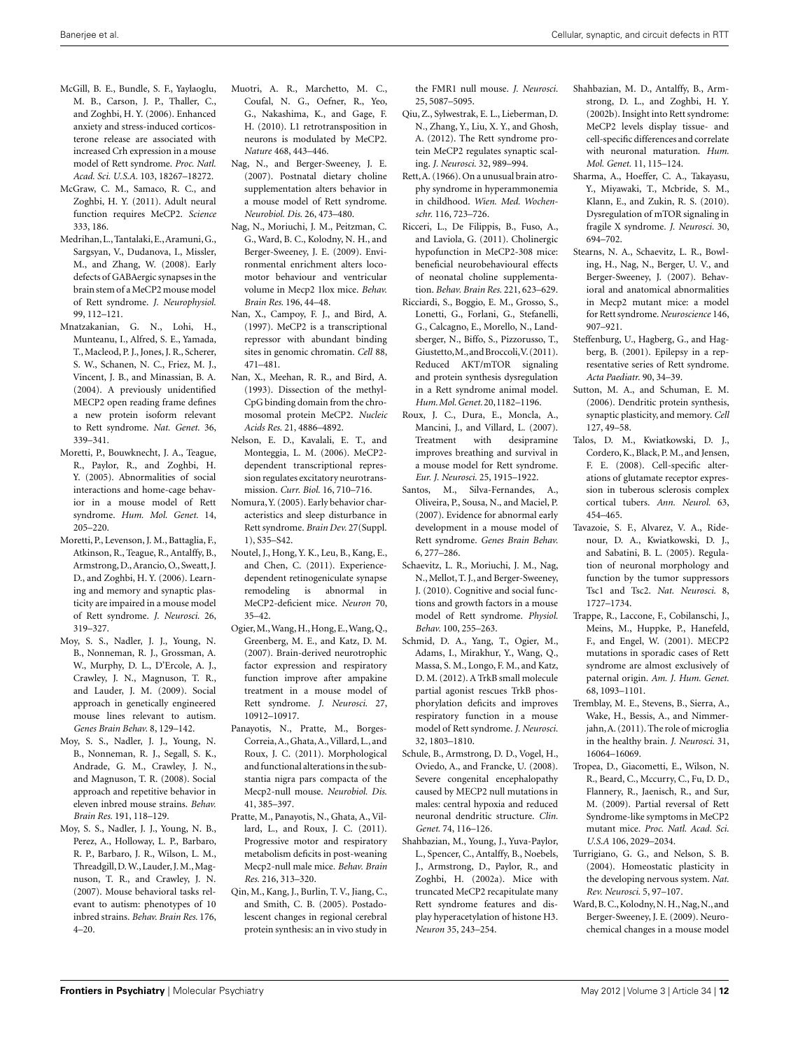- <span id="page-11-0"></span>McGill, B. E., Bundle, S. F., Yaylaoglu, M. B., Carson, J. P., Thaller, C., and Zoghbi, H. Y. (2006). Enhanced anxiety and stress-induced corticosterone release are associated with increased Crh expression in a mouse model of Rett syndrome. *Proc. Natl. Acad. Sci. U.S.A.* 103, 18267–18272.
- McGraw, C. M., Samaco, R. C., and Zoghbi, H. Y. (2011). Adult neural function requires MeCP2. *Science* 333, 186.
- Medrihan, L.,Tantalaki, E.,Aramuni,G., Sargsyan, V., Dudanova, I., Missler, M., and Zhang, W. (2008). Early defects of GABAergic synapses in the brain stem of a MeCP2 mouse model of Rett syndrome. *J. Neurophysiol.* 99, 112–121.
- Mnatzakanian, G. N., Lohi, H., Munteanu, I., Alfred, S. E., Yamada, T., Macleod, P. J., Jones, J. R., Scherer, S. W., Schanen, N. C., Friez, M. J., Vincent, J. B., and Minassian, B. A. (2004). A previously unidentified MECP2 open reading frame defines a new protein isoform relevant to Rett syndrome. *Nat. Genet.* 36, 339–341.
- Moretti, P., Bouwknecht, J. A., Teague, R., Paylor, R., and Zoghbi, H. Y. (2005). Abnormalities of social interactions and home-cage behavior in a mouse model of Rett syndrome. *Hum. Mol. Genet.* 14, 205–220.
- Moretti, P., Levenson, J. M., Battaglia, F., Atkinson, R., Teague, R., Antalffy, B., Armstrong, D.,Arancio, O., Sweatt, J. D., and Zoghbi, H. Y. (2006). Learning and memory and synaptic plasticity are impaired in a mouse model of Rett syndrome. *J. Neurosci.* 26, 319–327.
- Moy, S. S., Nadler, J. J., Young, N. B., Nonneman, R. J., Grossman, A. W., Murphy, D. L., D'Ercole, A. J., Crawley, J. N., Magnuson, T. R., and Lauder, J. M. (2009). Social approach in genetically engineered mouse lines relevant to autism. *Genes Brain Behav.* 8, 129–142.
- Moy, S. S., Nadler, J. J., Young, N. B., Nonneman, R. J., Segall, S. K., Andrade, G. M., Crawley, J. N., and Magnuson, T. R. (2008). Social approach and repetitive behavior in eleven inbred mouse strains. *Behav. Brain Res.* 191, 118–129.
- Moy, S. S., Nadler, J. J., Young, N. B., Perez, A., Holloway, L. P., Barbaro, R. P., Barbaro, J. R., Wilson, L. M., Threadgill, D.W., Lauder, J.M., Magnuson, T. R., and Crawley, J. N. (2007). Mouse behavioral tasks relevant to autism: phenotypes of 10 inbred strains. *Behav. Brain Res.* 176, 4–20.
- Muotri, A. R., Marchetto, M. C., Coufal, N. G., Oefner, R., Yeo, G., Nakashima, K., and Gage, F. H. (2010). L1 retrotransposition in neurons is modulated by MeCP2. *Nature* 468, 443–446.
- Nag, N., and Berger-Sweeney, J. E. (2007). Postnatal dietary choline supplementation alters behavior in a mouse model of Rett syndrome. *Neurobiol. Dis.* 26, 473–480.
- Nag, N., Moriuchi, J. M., Peitzman, C. G., Ward, B. C., Kolodny, N. H., and Berger-Sweeney, J. E. (2009). Environmental enrichment alters locomotor behaviour and ventricular volume in Mecp2 1lox mice. *Behav. Brain Res.* 196, 44–48.
- Nan, X., Campoy, F. J., and Bird, A. (1997). MeCP2 is a transcriptional repressor with abundant binding sites in genomic chromatin. *Cell* 88, 471–481.
- Nan, X., Meehan, R. R., and Bird, A. (1993). Dissection of the methyl-CpG binding domain from the chromosomal protein MeCP2. *Nucleic Acids Res.* 21, 4886–4892.
- Nelson, E. D., Kavalali, E. T., and Monteggia, L. M. (2006). MeCP2 dependent transcriptional repression regulates excitatory neurotransmission. *Curr. Biol.* 16, 710–716.
- Nomura,Y. (2005). Early behavior characteristics and sleep disturbance in Rett syndrome. *Brain Dev.* 27(Suppl. 1), S35–S42.
- Noutel, J., Hong, Y. K., Leu, B., Kang, E., and Chen, C. (2011). Experiencedependent retinogeniculate synapse remodeling is abnormal in MeCP2-deficient mice. *Neuron* 70, 35–42.
- Ogier,M.,Wang,H.,Hong, E.,Wang, Q., Greenberg, M. E., and Katz, D. M. (2007). Brain-derived neurotrophic factor expression and respiratory function improve after ampakine treatment in a mouse model of Rett syndrome. *J. Neurosci.* 27, 10912–10917.
- Panayotis, N., Pratte, M., Borges-Correia,A., Ghata,A.,Villard, L., and Roux, J. C. (2011). Morphological andfunctional alterations in the substantia nigra pars compacta of the Mecp2-null mouse. *Neurobiol. Dis.* 41, 385–397.
- Pratte, M., Panayotis, N., Ghata, A., Villard, L., and Roux, J. C. (2011). Progressive motor and respiratory metabolism deficits in post-weaning Mecp2-null male mice. *Behav. Brain Res.* 216, 313–320.
- Qin, M., Kang, J., Burlin, T. V., Jiang, C., and Smith, C. B. (2005). Postadolescent changes in regional cerebral protein synthesis: an in vivo study in

the FMR1 null mouse. *J. Neurosci.* 25, 5087–5095.

- Qiu, Z., Sylwestrak, E. L., Lieberman, D. N., Zhang, Y., Liu, X. Y., and Ghosh, A. (2012). The Rett syndrome protein MeCP2 regulates synaptic scaling. *J. Neurosci.* 32, 989–994.
- Rett,A. (1966). On a unusual brain atrophy syndrome in hyperammonemia in childhood. *Wien. Med. Wochenschr.* 116, 723–726.
- Ricceri, L., De Filippis, B., Fuso, A., and Laviola, G. (2011). Cholinergic hypofunction in MeCP2-308 mice: beneficial neurobehavioural effects of neonatal choline supplementation. *Behav. Brain Res.* 221, 623–629.
- Ricciardi, S., Boggio, E. M., Grosso, S., Lonetti, G., Forlani, G., Stefanelli, G., Calcagno, E., Morello, N., Landsberger, N., Biffo, S., Pizzorusso, T., Giustetto,M.,andBroccoli,V. (2011). Reduced AKT/mTOR signaling and protein synthesis dysregulation in a Rett syndrome animal model. *Hum.Mol.Genet.*20,1182–1196.
- Roux, J. C., Dura, E., Moncla, A., Mancini, J., and Villard, L. (2007). Treatment with desipramine improves breathing and survival in a mouse model for Rett syndrome. *Eur. J. Neurosci.* 25, 1915–1922.
- Santos, M., Silva-Fernandes, A., Oliveira, P., Sousa, N., and Maciel, P. (2007). Evidence for abnormal early development in a mouse model of Rett syndrome. *Genes Brain Behav.* 6, 277–286.
- Schaevitz, L. R., Moriuchi, J. M., Nag, N., Mellot, T. J., and Berger-Sweeney, J. (2010). Cognitive and social functions and growth factors in a mouse model of Rett syndrome. *Physiol. Behav.* 100, 255–263.
- Schmid, D. A., Yang, T., Ogier, M., Adams, I., Mirakhur, Y., Wang, Q., Massa, S. M., Longo, F. M., and Katz, D. M. (2012). A TrkB small molecule partial agonist rescues TrkB phosphorylation deficits and improves respiratory function in a mouse model of Rett syndrome. *J. Neurosci.* 32, 1803–1810.
- Schule, B., Armstrong, D. D., Vogel, H., Oviedo, A., and Francke, U. (2008). Severe congenital encephalopathy caused by MECP2 null mutations in males: central hypoxia and reduced neuronal dendritic structure. *Clin. Genet.* 74, 116–126.
- Shahbazian, M., Young, J., Yuva-Paylor, L., Spencer, C., Antalffy, B., Noebels, J., Armstrong, D., Paylor, R., and Zoghbi, H. (2002a). Mice with truncated MeCP2 recapitulate many Rett syndrome features and display hyperacetylation of histone H3. *Neuron* 35, 243–254.
- Shahbazian, M. D., Antalffy, B., Armstrong, D. L., and Zoghbi, H. Y. (2002b). Insight into Rett syndrome: MeCP2 levels display tissue- and cell-specific differences and correlate with neuronal maturation. *Hum. Mol. Genet.* 11, 115–124.
- Sharma, A., Hoeffer, C. A., Takayasu, Y., Miyawaki, T., Mcbride, S. M., Klann, E., and Zukin, R. S. (2010). Dysregulation of mTOR signaling in fragile X syndrome. *J. Neurosci.* 30, 694–702.
- Stearns, N. A., Schaevitz, L. R., Bowling, H., Nag, N., Berger, U. V., and Berger-Sweeney, J. (2007). Behavioral and anatomical abnormalities in Mecp2 mutant mice: a model for Rett syndrome. *Neuroscience* 146, 907–921.
- Steffenburg, U., Hagberg, G., and Hagberg, B. (2001). Epilepsy in a representative series of Rett syndrome. *Acta Paediatr.* 90, 34–39.
- Sutton, M. A., and Schuman, E. M. (2006). Dendritic protein synthesis, synaptic plasticity, and memory. *Cell* 127, 49–58.
- Talos, D. M., Kwiatkowski, D. J., Cordero, K., Black, P. M., and Jensen, F. E. (2008). Cell-specific alterations of glutamate receptor expression in tuberous sclerosis complex cortical tubers. *Ann. Neurol.* 63, 454–465.
- Tavazoie, S. F., Alvarez, V. A., Ridenour, D. A., Kwiatkowski, D. J., and Sabatini, B. L. (2005). Regulation of neuronal morphology and function by the tumor suppressors Tsc1 and Tsc2. *Nat. Neurosci.* 8, 1727–1734.
- Trappe, R., Laccone, F., Cobilanschi, J., Meins, M., Huppke, P., Hanefeld, F., and Engel, W. (2001). MECP2 mutations in sporadic cases of Rett syndrome are almost exclusively of paternal origin. *Am. J. Hum. Genet.* 68, 1093–1101.
- Tremblay, M. E., Stevens, B., Sierra, A., Wake, H., Bessis, A., and Nimmerjahn,A. (2011). The role of microglia in the healthy brain. *J. Neurosci.* 31, 16064–16069.
- Tropea, D., Giacometti, E., Wilson, N. R., Beard, C., Mccurry, C., Fu, D. D., Flannery, R., Jaenisch, R., and Sur, M. (2009). Partial reversal of Rett Syndrome-like symptoms in MeCP2 mutant mice. *Proc. Natl. Acad. Sci. U.S.A* 106, 2029–2034.
- Turrigiano, G. G., and Nelson, S. B. (2004). Homeostatic plasticity in the developing nervous system. *Nat. Rev. Neurosci.* 5, 97–107.
- Ward, B. C., Kolodny, N. H., Nag, N., and Berger-Sweeney, J. E. (2009). Neurochemical changes in a mouse model